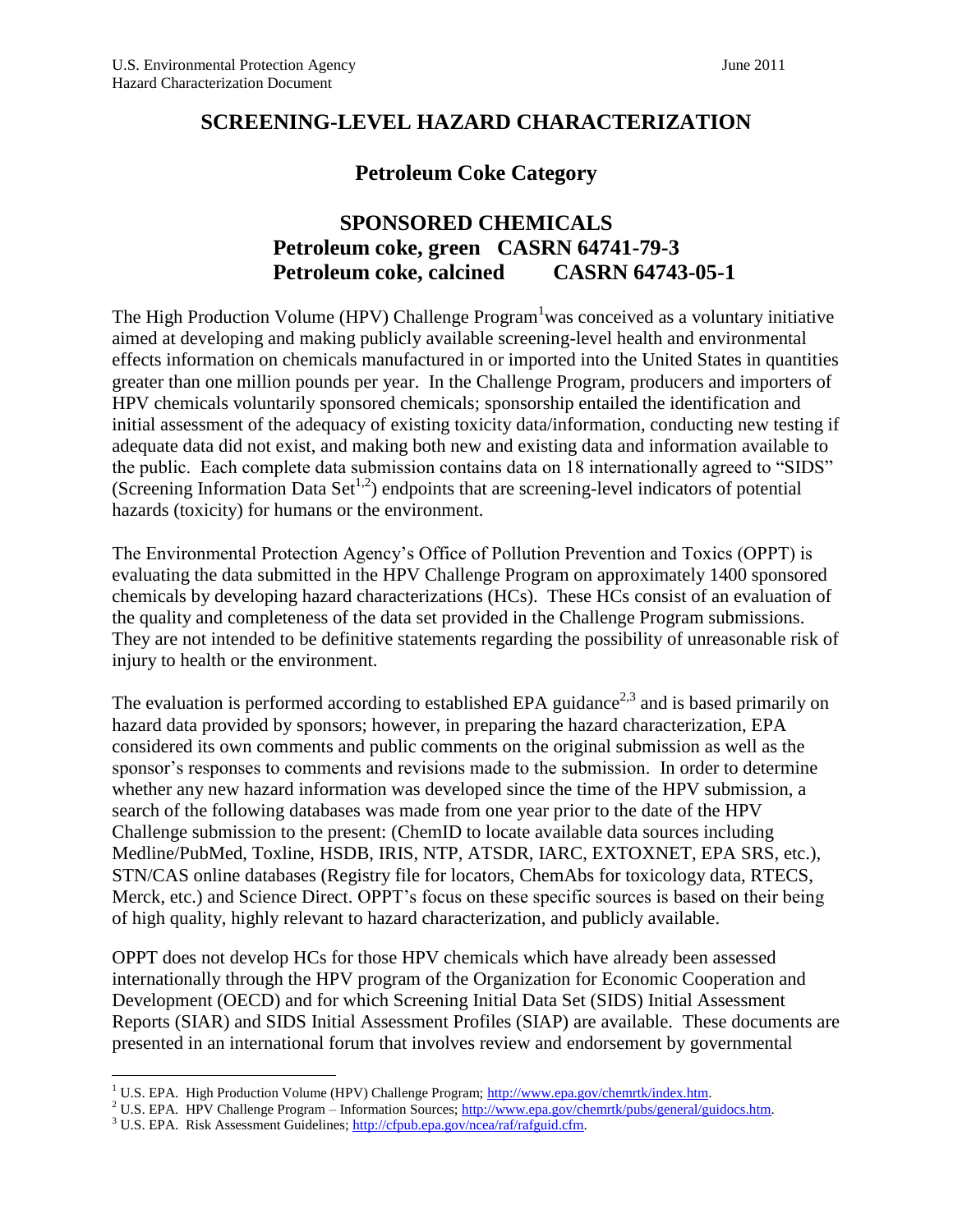# **SCREENING-LEVEL HAZARD CHARACTERIZATION**

# <span id="page-0-0"></span>**Petroleum Coke Category**

# **SPONSORED CHEMICALS Petroleum coke, green CASRN 64741-79-3 Petroleum coke, calcined CASRN 64743-05-1**

The High Production Volume (HPV) Challenge Program<sup>1</sup>was conceived as a voluntary initiative aimed at developing and making publicly available screening-level health and environmental effects information on chemicals manufactured in or imported into the United States in quantities greater than one million pounds per year. In the Challenge Program, producers and importers of HPV chemicals voluntarily sponsored chemicals; sponsorship entailed the identification and initial assessment of the adequacy of existing toxicity data/information, conducting new testing if adequate data did not exist, and making both new and existing data and information available to the public. Each complete data submission contains data on 18 internationally agreed to "SIDS" (Screening Information Data Set<sup>[1,2](#page-0-0)</sup>) endpoints that are screening-level indicators of potential hazards (toxicity) for humans or the environment.

The Environmental Protection Agency's Office of Pollution Prevention and Toxics (OPPT) is evaluating the data submitted in the HPV Challenge Program on approximately 1400 sponsored chemicals by developing hazard characterizations (HCs). These HCs consist of an evaluation of the quality and completeness of the data set provided in the Challenge Program submissions. They are not intended to be definitive statements regarding the possibility of unreasonable risk of injury to health or the environment.

The evaluation is performed according to established EPA guidance<sup>2,3</sup> and is based primarily on hazard data provided by sponsors; however, in preparing the hazard characterization, EPA considered its own comments and public comments on the original submission as well as the sponsor's responses to comments and revisions made to the submission. In order to determine whether any new hazard information was developed since the time of the HPV submission, a search of the following databases was made from one year prior to the date of the HPV Challenge submission to the present: (ChemID to locate available data sources including Medline/PubMed, Toxline, HSDB, IRIS, NTP, ATSDR, IARC, EXTOXNET, EPA SRS, etc.), STN/CAS online databases (Registry file for locators, ChemAbs for toxicology data, RTECS, Merck, etc.) and Science Direct. OPPT's focus on these specific sources is based on their being of high quality, highly relevant to hazard characterization, and publicly available.

OPPT does not develop HCs for those HPV chemicals which have already been assessed internationally through the HPV program of the Organization for Economic Cooperation and Development (OECD) and for which Screening Initial Data Set (SIDS) Initial Assessment Reports (SIAR) and SIDS Initial Assessment Profiles (SIAP) are available. These documents are presented in an international forum that involves review and endorsement by governmental

 $\overline{a}$ 

<sup>&</sup>lt;sup>1</sup> U.S. EPA. High Production Volume (HPV) Challenge Program; [http://www.epa.gov/chemrtk/index.htm.](http://www.epa.gov/chemrtk/index.htm)

<sup>&</sup>lt;sup>2</sup> U.S. EPA. HPV Challenge Program – Information Sources[; http://www.epa.gov/chemrtk/pubs/general/guidocs.htm.](http://www.epa.gov/chemrtk/pubs/general/guidocs.htm)

<sup>&</sup>lt;sup>3</sup> U.S. EPA. Risk Assessment Guidelines[; http://cfpub.epa.gov/ncea/raf/rafguid.cfm.](http://cfpub.epa.gov/ncea/raf/rafguid.cfm)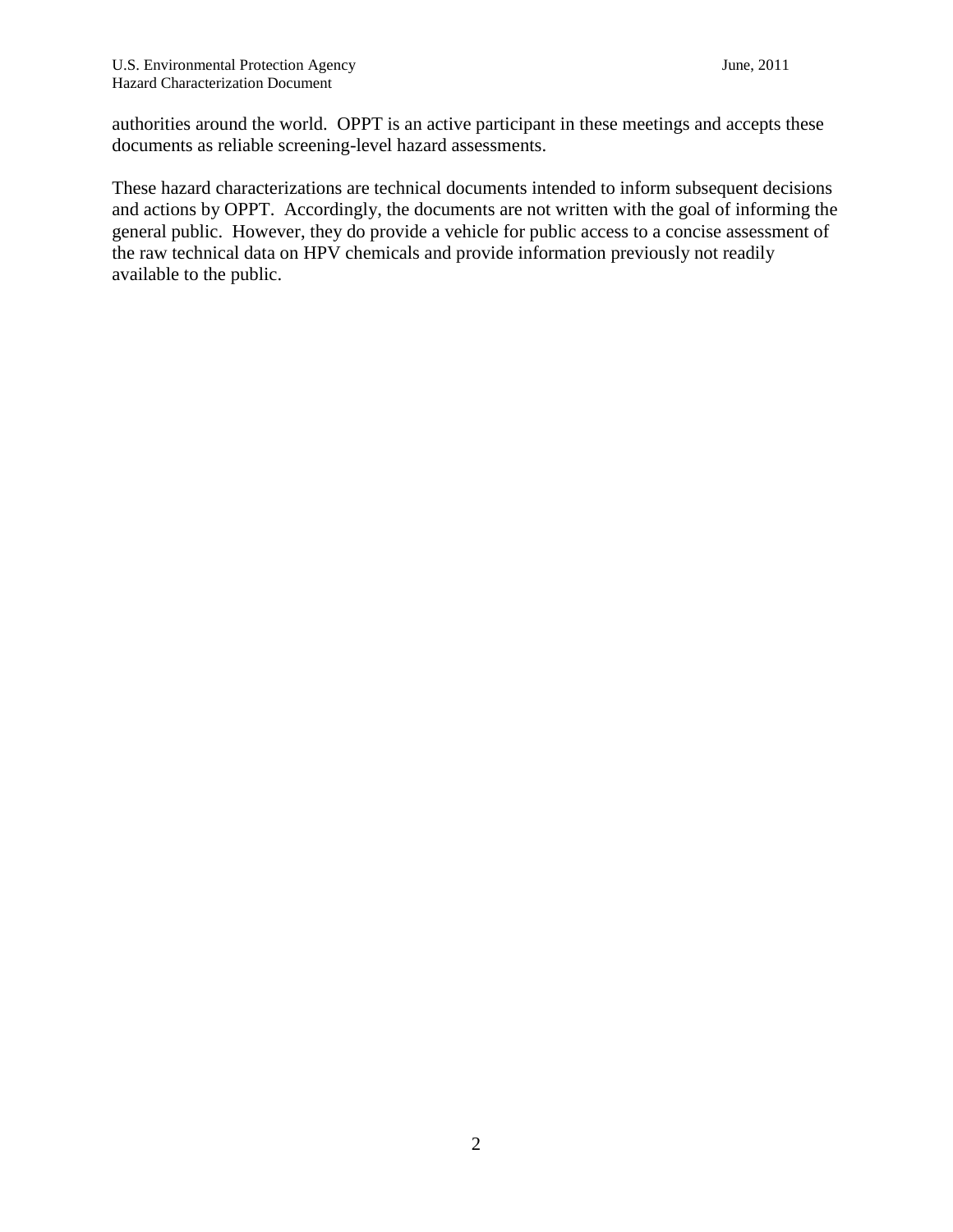authorities around the world. OPPT is an active participant in these meetings and accepts these documents as reliable screening-level hazard assessments.

These hazard characterizations are technical documents intended to inform subsequent decisions and actions by OPPT. Accordingly, the documents are not written with the goal of informing the general public. However, they do provide a vehicle for public access to a concise assessment of the raw technical data on HPV chemicals and provide information previously not readily available to the public.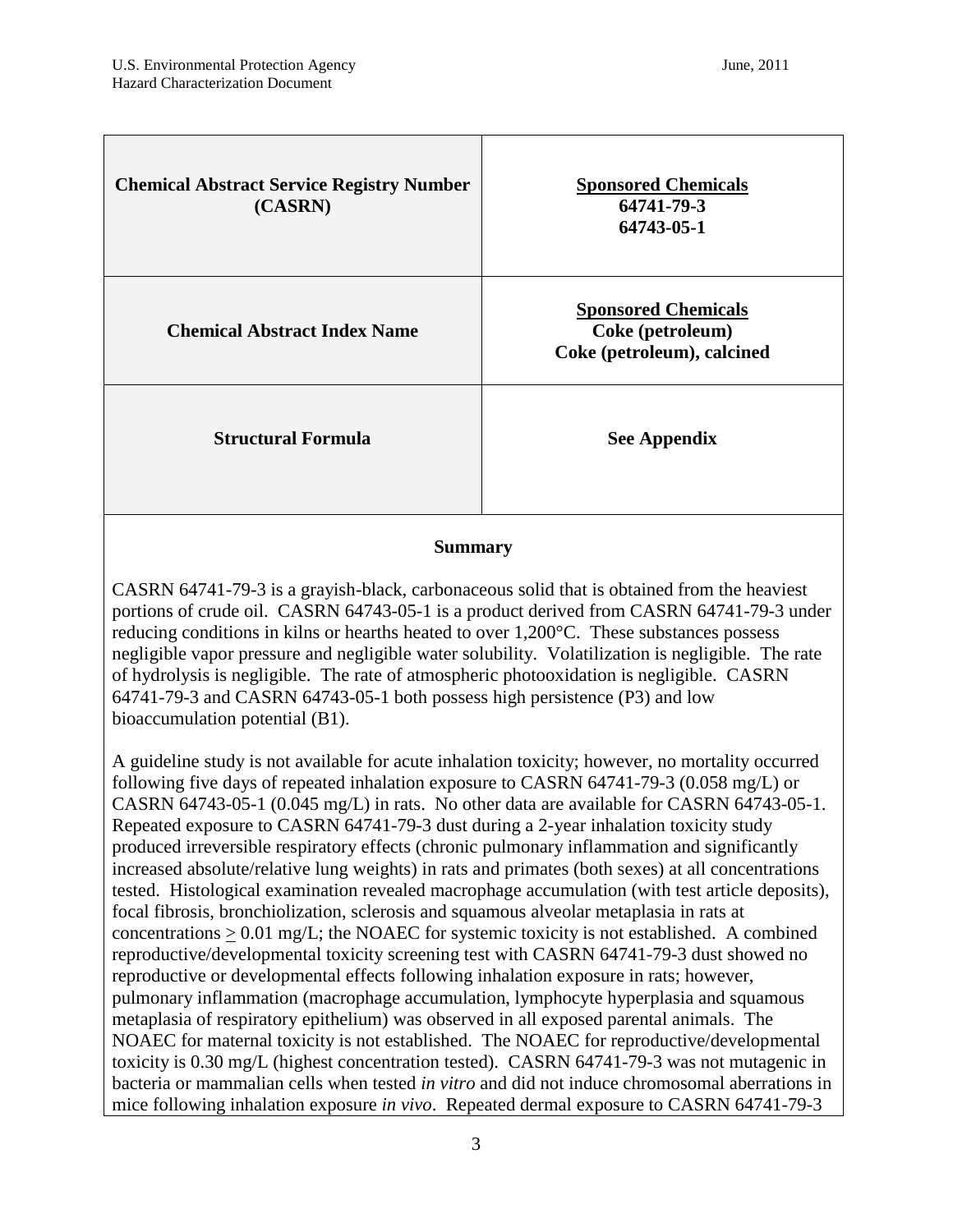| <b>Chemical Abstract Service Registry Number</b><br>(CASRN) | <b>Sponsored Chemicals</b><br>64741-79-3<br>64743-05-1                       |
|-------------------------------------------------------------|------------------------------------------------------------------------------|
| <b>Chemical Abstract Index Name</b>                         | <b>Sponsored Chemicals</b><br>Coke (petroleum)<br>Coke (petroleum), calcined |
| <b>Structural Formula</b>                                   | <b>See Appendix</b>                                                          |

### **Summary**

CASRN 64741-79-3 is a grayish-black, carbonaceous solid that is obtained from the heaviest portions of crude oil. CASRN 64743-05-1 is a product derived from CASRN 64741-79-3 under reducing conditions in kilns or hearths heated to over 1,200°C. These substances possess negligible vapor pressure and negligible water solubility. Volatilization is negligible. The rate of hydrolysis is negligible. The rate of atmospheric photooxidation is negligible. CASRN 64741-79-3 and CASRN 64743-05-1 both possess high persistence (P3) and low bioaccumulation potential (B1).

A guideline study is not available for acute inhalation toxicity; however, no mortality occurred following five days of repeated inhalation exposure to CASRN 64741-79-3 (0.058 mg/L) or CASRN 64743-05-1 (0.045 mg/L) in rats. No other data are available for CASRN 64743-05-1. Repeated exposure to CASRN 64741-79-3 dust during a 2-year inhalation toxicity study produced irreversible respiratory effects (chronic pulmonary inflammation and significantly increased absolute/relative lung weights) in rats and primates (both sexes) at all concentrations tested. Histological examination revealed macrophage accumulation (with test article deposits), focal fibrosis, bronchiolization, sclerosis and squamous alveolar metaplasia in rats at concentrations  $> 0.01$  mg/L; the NOAEC for systemic toxicity is not established. A combined reproductive/developmental toxicity screening test with CASRN 64741-79-3 dust showed no reproductive or developmental effects following inhalation exposure in rats; however, pulmonary inflammation (macrophage accumulation, lymphocyte hyperplasia and squamous metaplasia of respiratory epithelium) was observed in all exposed parental animals. The NOAEC for maternal toxicity is not established. The NOAEC for reproductive/developmental toxicity is 0.30 mg/L (highest concentration tested). CASRN 64741-79-3 was not mutagenic in bacteria or mammalian cells when tested *in vitro* and did not induce chromosomal aberrations in mice following inhalation exposure *in vivo*. Repeated dermal exposure to CASRN 64741-79-3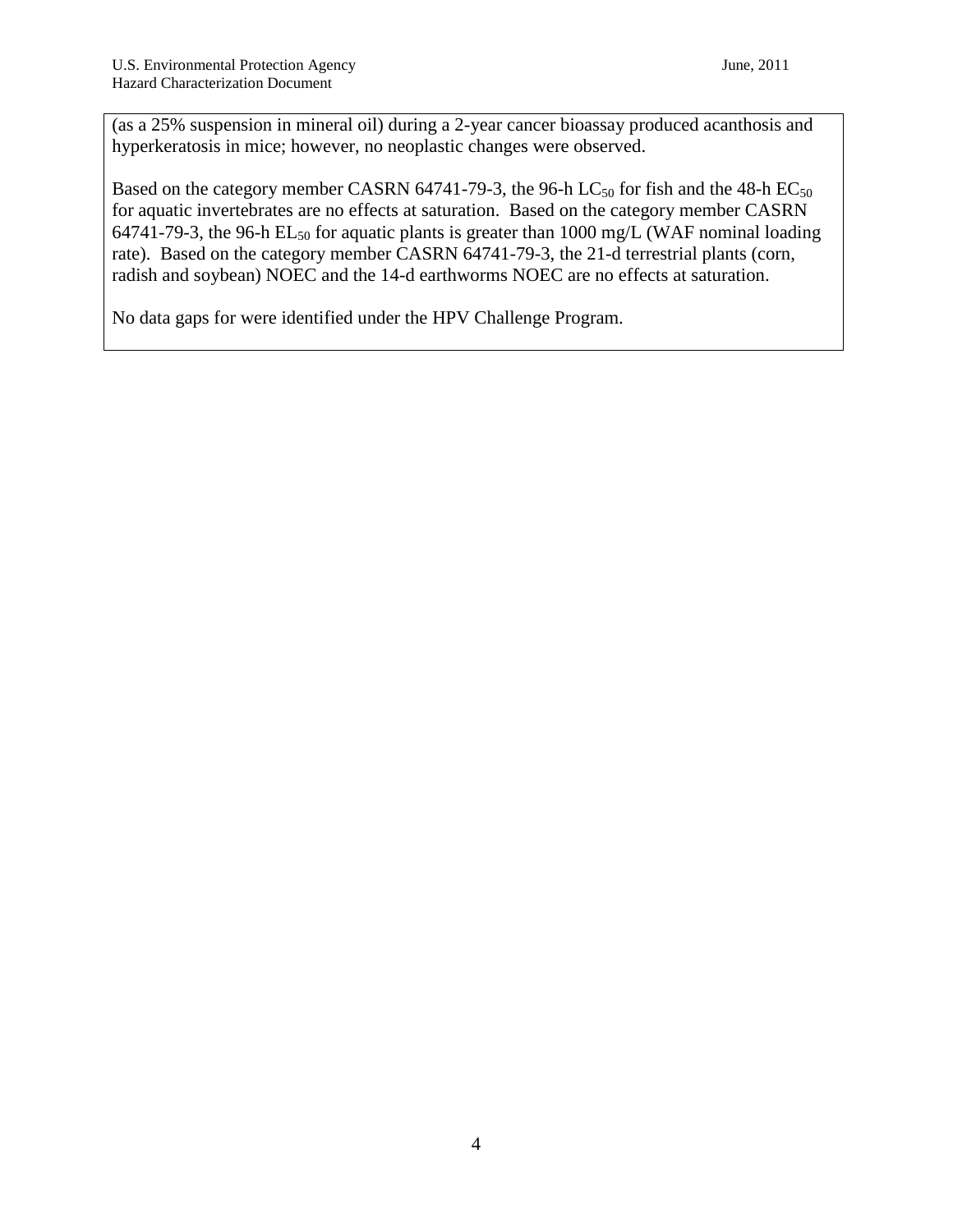(as a 25% suspension in mineral oil) during a 2-year cancer bioassay produced acanthosis and hyperkeratosis in mice; however, no neoplastic changes were observed.

Based on the category member CASRN 64741-79-3, the 96-h LC<sub>50</sub> for fish and the 48-h EC<sub>50</sub> for aquatic invertebrates are no effects at saturation. Based on the category member CASRN 64741-79-3, the 96-h  $EL_{50}$  for aquatic plants is greater than 1000 mg/L (WAF nominal loading rate). Based on the category member CASRN 64741-79-3, the 21-d terrestrial plants (corn, radish and soybean) NOEC and the 14-d earthworms NOEC are no effects at saturation.

No data gaps for were identified under the HPV Challenge Program.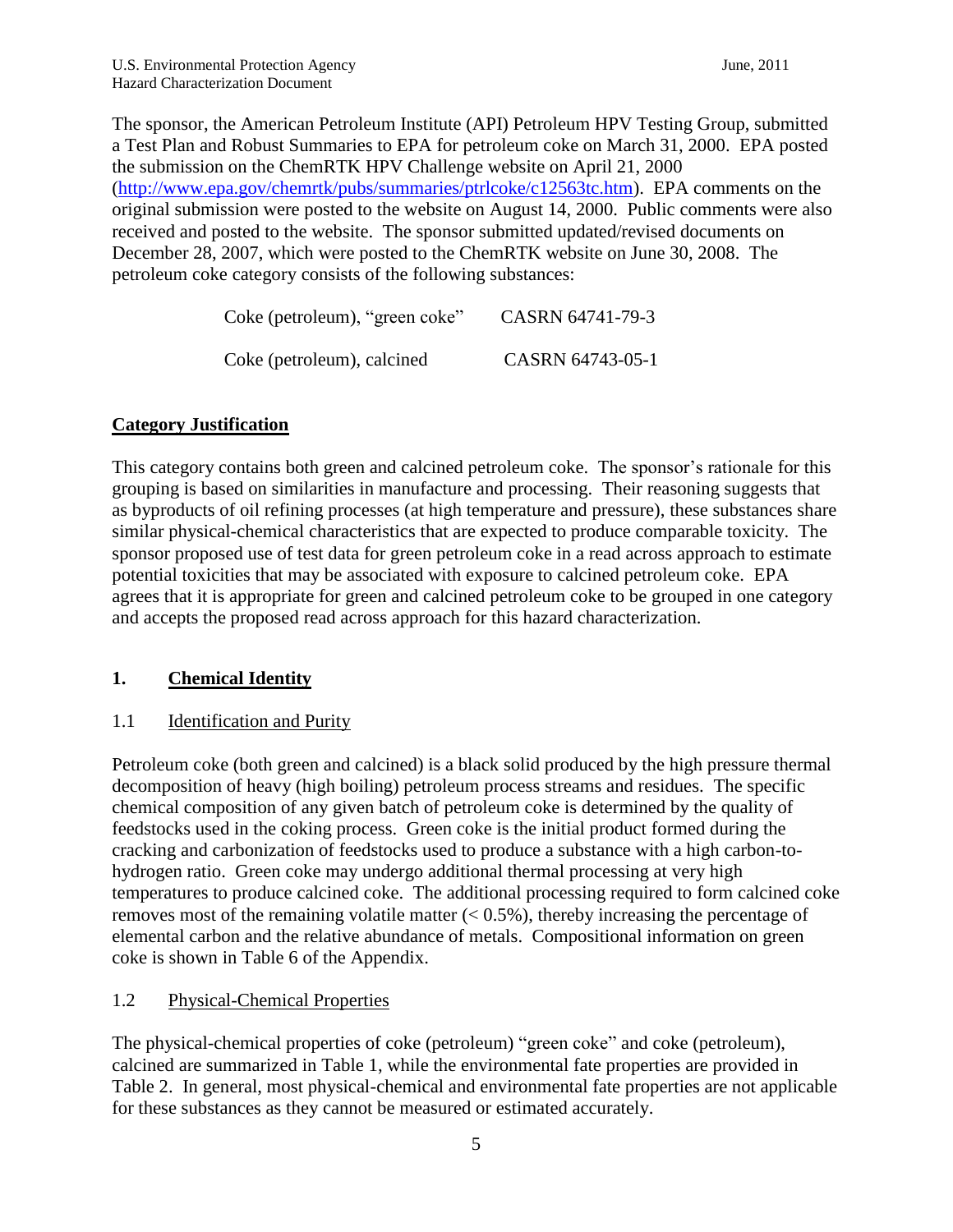The sponsor, the American Petroleum Institute (API) Petroleum HPV Testing Group, submitted a Test Plan and Robust Summaries to EPA for petroleum coke on March 31, 2000. EPA posted the submission on the ChemRTK HPV Challenge website on April 21, 2000 [\(http://www.epa.gov/chemrtk/pubs/summaries/ptrlcoke/c12563tc.htm\)](http://www.epa.gov/chemrtk/pubs/summaries/ptrlcoke/c12563tc.htm). EPA comments on the original submission were posted to the website on August 14, 2000. Public comments were also received and posted to the website. The sponsor submitted updated/revised documents on December 28, 2007, which were posted to the ChemRTK website on June 30, 2008. The petroleum coke category consists of the following substances:

| Coke (petroleum), "green coke" | CASRN 64741-79-3 |
|--------------------------------|------------------|
| Coke (petroleum), calcined     | CASRN 64743-05-1 |

### **Category Justification**

This category contains both green and calcined petroleum coke. The sponsor's rationale for this grouping is based on similarities in manufacture and processing. Their reasoning suggests that as byproducts of oil refining processes (at high temperature and pressure), these substances share similar physical-chemical characteristics that are expected to produce comparable toxicity. The sponsor proposed use of test data for green petroleum coke in a read across approach to estimate potential toxicities that may be associated with exposure to calcined petroleum coke. EPA agrees that it is appropriate for green and calcined petroleum coke to be grouped in one category and accepts the proposed read across approach for this hazard characterization.

## **1. Chemical Identity**

1.1 **Identification and Purity** 

Petroleum coke (both green and calcined) is a black solid produced by the high pressure thermal decomposition of heavy (high boiling) petroleum process streams and residues. The specific chemical composition of any given batch of petroleum coke is determined by the quality of feedstocks used in the coking process. Green coke is the initial product formed during the cracking and carbonization of feedstocks used to produce a substance with a high carbon-tohydrogen ratio. Green coke may undergo additional thermal processing at very high temperatures to produce calcined coke. The additional processing required to form calcined coke removes most of the remaining volatile matter  $( $0.5\%$ ),$  thereby increasing the percentage of elemental carbon and the relative abundance of metals. Compositional information on green coke is shown in Table 6 of the Appendix.

## 1.2 Physical-Chemical Properties

The physical-chemical properties of coke (petroleum) "green coke" and coke (petroleum), calcined are summarized in Table 1, while the environmental fate properties are provided in Table 2. In general, most physical-chemical and environmental fate properties are not applicable for these substances as they cannot be measured or estimated accurately.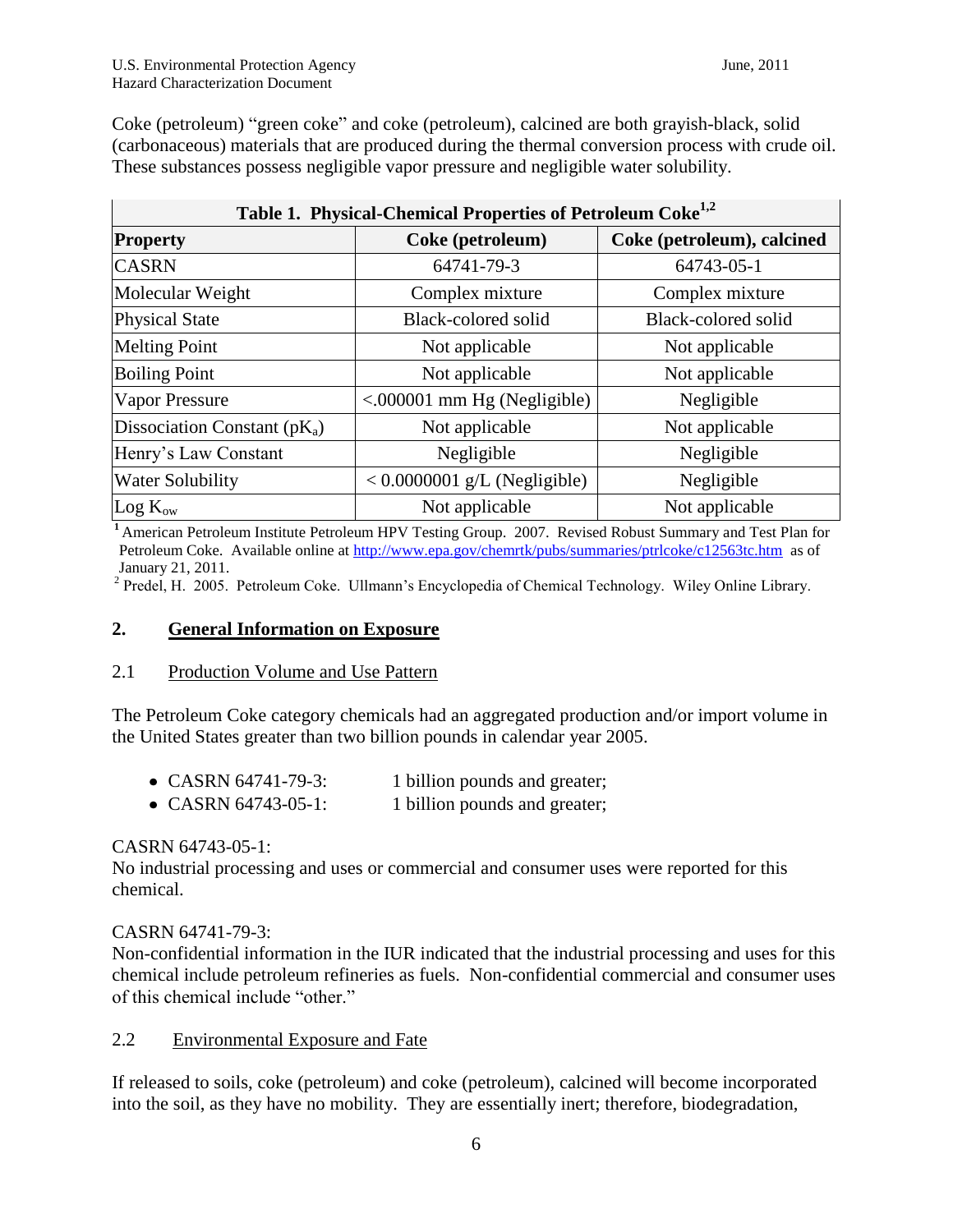Coke (petroleum) "green coke" and coke (petroleum), calcined are both grayish-black, solid (carbonaceous) materials that are produced during the thermal conversion process with crude oil. These substances possess negligible vapor pressure and negligible water solubility.

| Table 1. Physical-Chemical Properties of Petroleum Coke <sup>1,2</sup> |                                              |                            |  |  |  |  |  |  |
|------------------------------------------------------------------------|----------------------------------------------|----------------------------|--|--|--|--|--|--|
| <b>Property</b>                                                        | Coke (petroleum)                             | Coke (petroleum), calcined |  |  |  |  |  |  |
| <b>CASRN</b>                                                           | 64741-79-3                                   | 64743-05-1                 |  |  |  |  |  |  |
| Molecular Weight                                                       | Complex mixture<br>Complex mixture           |                            |  |  |  |  |  |  |
| <b>Physical State</b>                                                  | Black-colored solid<br>Black-colored solid   |                            |  |  |  |  |  |  |
| <b>Melting Point</b>                                                   | Not applicable                               | Not applicable             |  |  |  |  |  |  |
| <b>Boiling Point</b>                                                   | Not applicable                               | Not applicable             |  |  |  |  |  |  |
| <b>Vapor Pressure</b>                                                  | $\leq 000001$ mm Hg (Negligible)             | Negligible                 |  |  |  |  |  |  |
| Dissociation Constant $(pK_a)$                                         | Not applicable                               | Not applicable             |  |  |  |  |  |  |
| Henry's Law Constant                                                   | Negligible                                   | Negligible                 |  |  |  |  |  |  |
| <b>Water Solubility</b>                                                | $< 0.0000001$ g/L (Negligible)<br>Negligible |                            |  |  |  |  |  |  |
| $Log K_{ow}$                                                           | Not applicable                               | Not applicable             |  |  |  |  |  |  |

**<sup>1</sup>**American Petroleum Institute Petroleum HPV Testing Group. 2007. Revised Robust Summary and Test Plan for Petroleum Coke. Available online at<http://www.epa.gov/chemrtk/pubs/summaries/ptrlcoke/c12563tc.htm>as of

January 21, 2011. 2 Predel, H. 2005. Petroleum Coke. Ullmann's Encyclopedia of Chemical Technology. Wiley Online Library.

### **2. General Information on Exposure**

### 2.1 Production Volume and Use Pattern

The Petroleum Coke category chemicals had an aggregated production and/or import volume in the United States greater than two billion pounds in calendar year 2005.

| • CASRN 64741-79-3:    | 1 billion pounds and greater; |
|------------------------|-------------------------------|
| • CASRN $64743-05-1$ : | 1 billion pounds and greater; |

### CASRN 64743-05-1:

No industrial processing and uses or commercial and consumer uses were reported for this chemical.

### CASRN 64741-79-3:

Non-confidential information in the IUR indicated that the industrial processing and uses for this chemical include petroleum refineries as fuels. Non-confidential commercial and consumer uses of this chemical include "other."

### 2.2 Environmental Exposure and Fate

If released to soils, coke (petroleum) and coke (petroleum), calcined will become incorporated into the soil, as they have no mobility. They are essentially inert; therefore, biodegradation,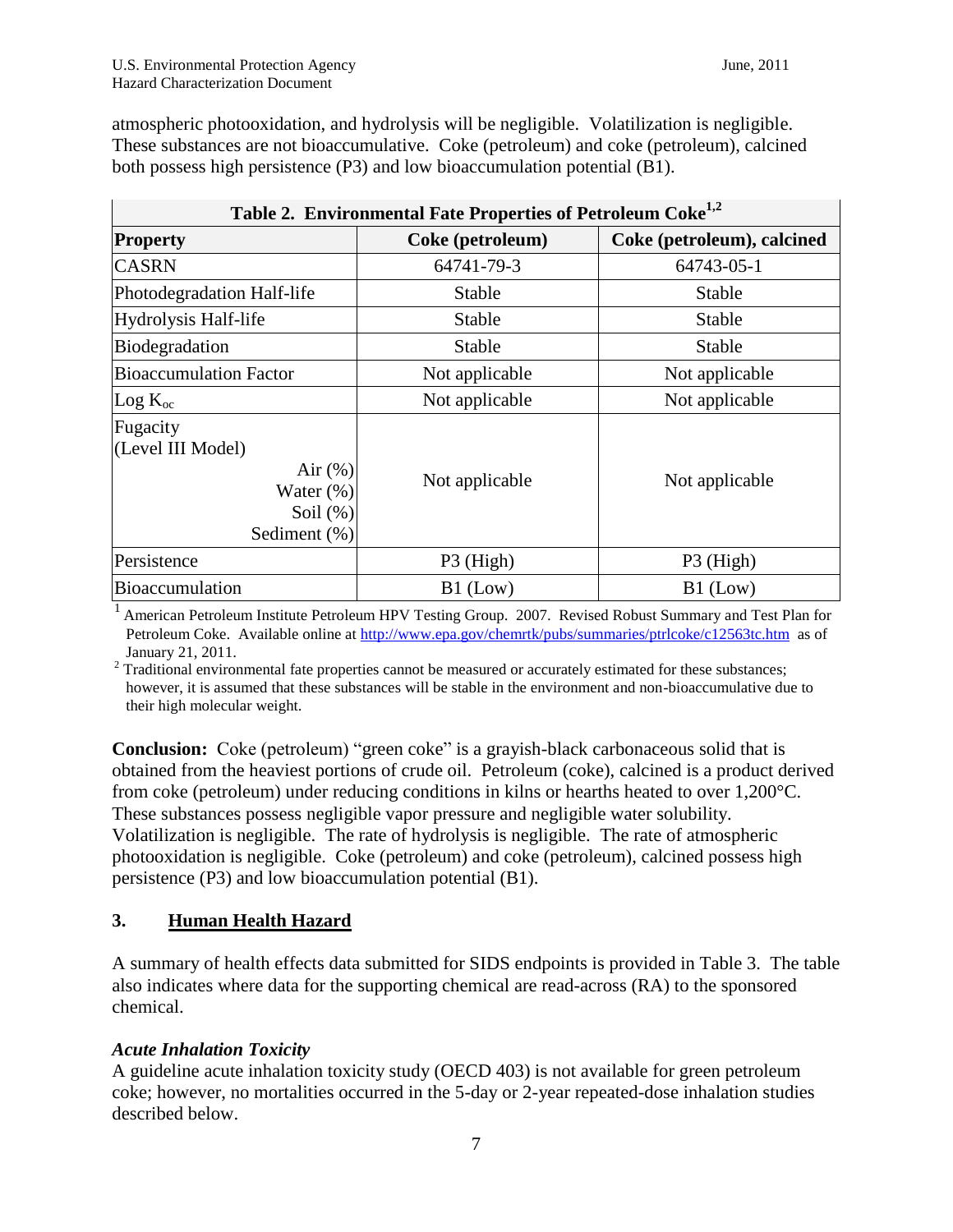| Table 2. Environmental Fate Properties of Petroleum Coke <sup>1,2</sup>                    |                  |                            |  |  |  |  |  |  |
|--------------------------------------------------------------------------------------------|------------------|----------------------------|--|--|--|--|--|--|
| <b>Property</b>                                                                            | Coke (petroleum) | Coke (petroleum), calcined |  |  |  |  |  |  |
| <b>CASRN</b>                                                                               | 64741-79-3       | 64743-05-1                 |  |  |  |  |  |  |
| Photodegradation Half-life                                                                 | Stable           | Stable                     |  |  |  |  |  |  |
| Hydrolysis Half-life                                                                       | <b>Stable</b>    | Stable                     |  |  |  |  |  |  |
| Biodegradation                                                                             | <b>Stable</b>    | <b>Stable</b>              |  |  |  |  |  |  |
| <b>Bioaccumulation Factor</b>                                                              | Not applicable   | Not applicable             |  |  |  |  |  |  |
| $Log K_{oc}$                                                                               | Not applicable   | Not applicable             |  |  |  |  |  |  |
| Fugacity<br>(Level III Model)<br>Air $(\%)$<br>Water $(\%)$<br>Soil $(\%)$<br>Sediment (%) | Not applicable   | Not applicable             |  |  |  |  |  |  |
| Persistence                                                                                | P3 (High)        | P3 (High)                  |  |  |  |  |  |  |
| <b>Bioaccumulation</b>                                                                     | $B1$ (Low)       | $B1$ (Low)                 |  |  |  |  |  |  |

atmospheric photooxidation, and hydrolysis will be negligible. Volatilization is negligible. These substances are not bioaccumulative. Coke (petroleum) and coke (petroleum), calcined both possess high persistence (P3) and low bioaccumulation potential (B1).

<sup>1</sup> American Petroleum Institute Petroleum HPV Testing Group. 2007. Revised Robust Summary and Test Plan for Petroleum Coke. Available online at<http://www.epa.gov/chemrtk/pubs/summaries/ptrlcoke/c12563tc.htm>as of January 21, 2011.

 $2$  Traditional environmental fate properties cannot be measured or accurately estimated for these substances; however, it is assumed that these substances will be stable in the environment and non-bioaccumulative due to their high molecular weight.

**Conclusion:** Coke (petroleum) "green coke" is a grayish-black carbonaceous solid that is obtained from the heaviest portions of crude oil. Petroleum (coke), calcined is a product derived from coke (petroleum) under reducing conditions in kilns or hearths heated to over 1,200°C. These substances possess negligible vapor pressure and negligible water solubility. Volatilization is negligible. The rate of hydrolysis is negligible. The rate of atmospheric photooxidation is negligible. Coke (petroleum) and coke (petroleum), calcined possess high persistence (P3) and low bioaccumulation potential (B1).

## **3. Human Health Hazard**

A summary of health effects data submitted for SIDS endpoints is provided in Table 3. The table also indicates where data for the supporting chemical are read-across (RA) to the sponsored chemical.

## *Acute Inhalation Toxicity*

A guideline acute inhalation toxicity study (OECD 403) is not available for green petroleum coke; however, no mortalities occurred in the 5-day or 2-year repeated-dose inhalation studies described below.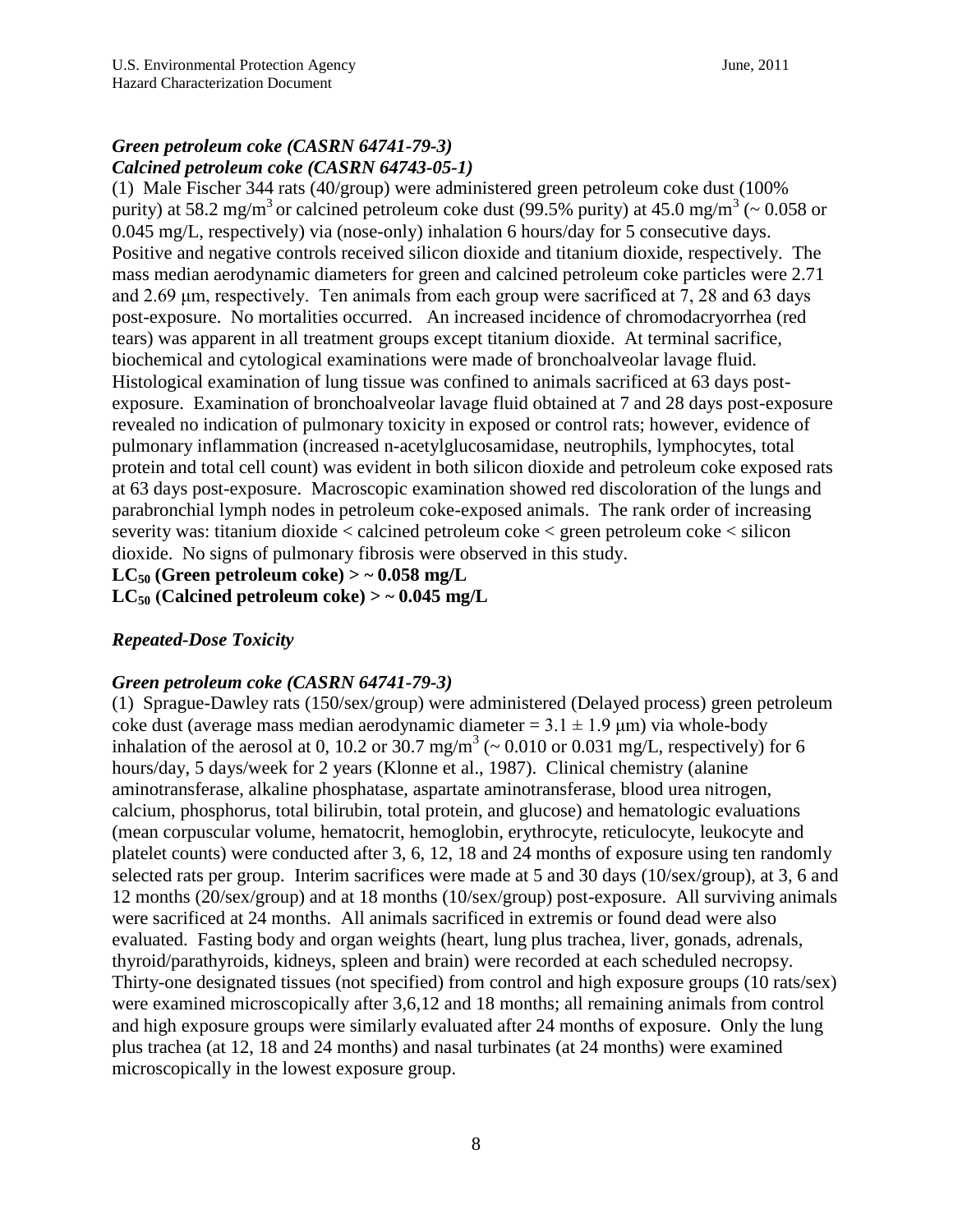## *Green petroleum coke (CASRN 64741-79-3) Calcined petroleum coke (CASRN 64743-05-1)*

(1) Male Fischer 344 rats (40/group) were administered green petroleum coke dust (100% purity) at 58.2 mg/m<sup>3</sup> or calcined petroleum coke dust (99.5% purity) at 45.0 mg/m<sup>3</sup> ( $\sim 0.058$  or 0.045 mg/L, respectively) via (nose-only) inhalation 6 hours/day for 5 consecutive days. Positive and negative controls received silicon dioxide and titanium dioxide, respectively. The mass median aerodynamic diameters for green and calcined petroleum coke particles were 2.71 and 2.69 μm, respectively. Ten animals from each group were sacrificed at 7, 28 and 63 days post-exposure. No mortalities occurred. An increased incidence of chromodacryorrhea (red tears) was apparent in all treatment groups except titanium dioxide. At terminal sacrifice, biochemical and cytological examinations were made of bronchoalveolar lavage fluid. Histological examination of lung tissue was confined to animals sacrificed at 63 days postexposure. Examination of bronchoalveolar lavage fluid obtained at 7 and 28 days post-exposure revealed no indication of pulmonary toxicity in exposed or control rats; however, evidence of pulmonary inflammation (increased n-acetylglucosamidase, neutrophils, lymphocytes, total protein and total cell count) was evident in both silicon dioxide and petroleum coke exposed rats at 63 days post-exposure. Macroscopic examination showed red discoloration of the lungs and parabronchial lymph nodes in petroleum coke-exposed animals. The rank order of increasing severity was: titanium dioxide < calcined petroleum coke < green petroleum coke < silicon dioxide. No signs of pulmonary fibrosis were observed in this study.

 $LC_{50}$  (Green petroleum coke)  $>$   $\sim$  0.058 mg/L

 $LC_{50}$  (Calcined petroleum coke)  $>$   $\sim$  0.045 mg/L

## *Repeated-Dose Toxicity*

### *Green petroleum coke (CASRN 64741-79-3)*

(1) Sprague-Dawley rats (150/sex/group) were administered (Delayed process) green petroleum coke dust (average mass median aerodynamic diameter =  $3.1 \pm 1.9$  µm) via whole-body inhalation of the aerosol at 0, 10.2 or 30.7 mg/m<sup>3</sup> ( $\sim$  0.010 or 0.031 mg/L, respectively) for 6 hours/day, 5 days/week for 2 years (Klonne et al., 1987). Clinical chemistry (alanine aminotransferase, alkaline phosphatase, aspartate aminotransferase, blood urea nitrogen, calcium, phosphorus, total bilirubin, total protein, and glucose) and hematologic evaluations (mean corpuscular volume, hematocrit, hemoglobin, erythrocyte, reticulocyte, leukocyte and platelet counts) were conducted after 3, 6, 12, 18 and 24 months of exposure using ten randomly selected rats per group. Interim sacrifices were made at 5 and 30 days (10/sex/group), at 3, 6 and 12 months (20/sex/group) and at 18 months (10/sex/group) post-exposure. All surviving animals were sacrificed at 24 months. All animals sacrificed in extremis or found dead were also evaluated. Fasting body and organ weights (heart, lung plus trachea, liver, gonads, adrenals, thyroid/parathyroids, kidneys, spleen and brain) were recorded at each scheduled necropsy. Thirty-one designated tissues (not specified) from control and high exposure groups (10 rats/sex) were examined microscopically after 3,6,12 and 18 months; all remaining animals from control and high exposure groups were similarly evaluated after 24 months of exposure. Only the lung plus trachea (at 12, 18 and 24 months) and nasal turbinates (at 24 months) were examined microscopically in the lowest exposure group.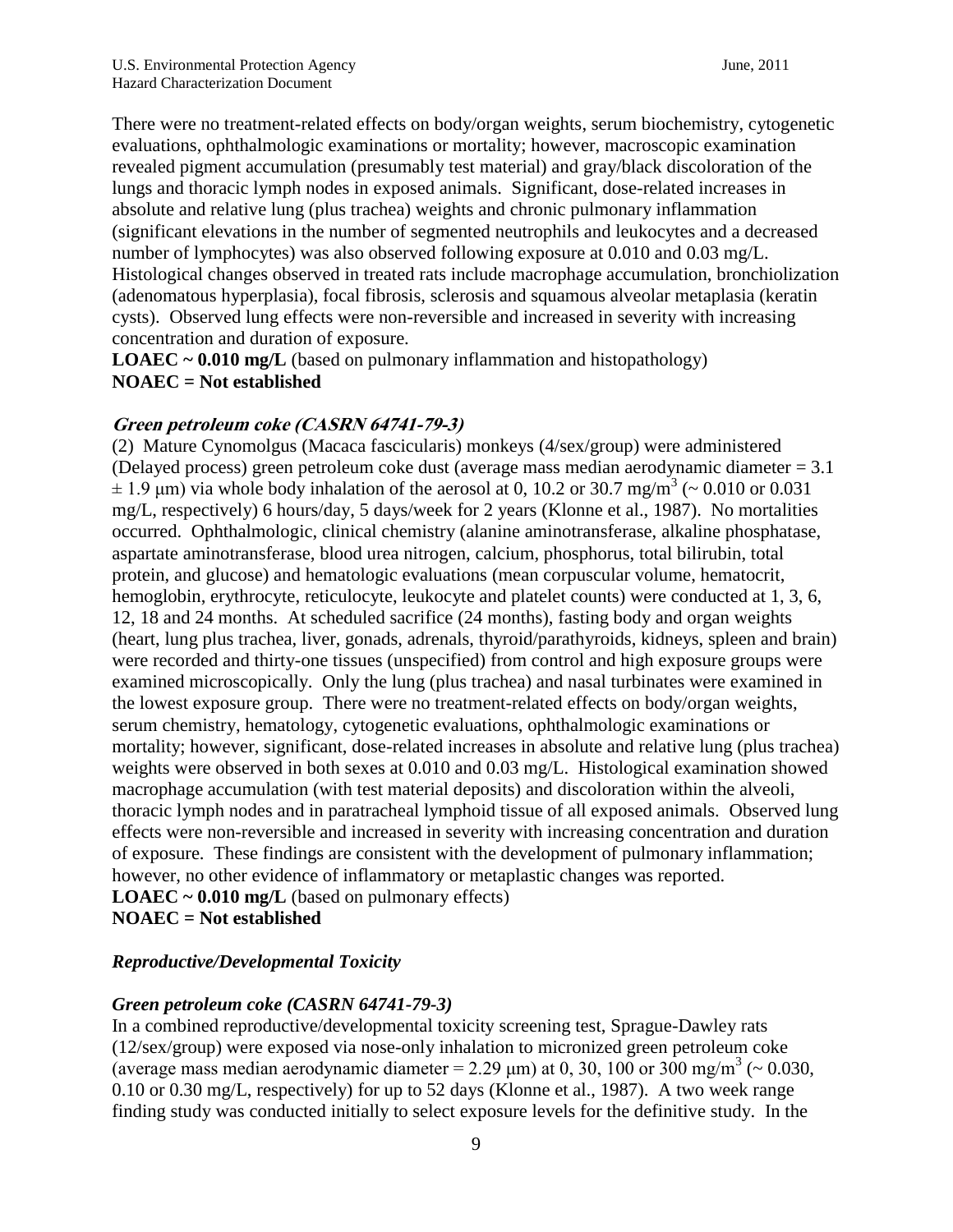There were no treatment-related effects on body/organ weights, serum biochemistry, cytogenetic evaluations, ophthalmologic examinations or mortality; however, macroscopic examination revealed pigment accumulation (presumably test material) and gray/black discoloration of the lungs and thoracic lymph nodes in exposed animals. Significant, dose-related increases in absolute and relative lung (plus trachea) weights and chronic pulmonary inflammation (significant elevations in the number of segmented neutrophils and leukocytes and a decreased number of lymphocytes) was also observed following exposure at 0.010 and 0.03 mg/L. Histological changes observed in treated rats include macrophage accumulation, bronchiolization (adenomatous hyperplasia), focal fibrosis, sclerosis and squamous alveolar metaplasia (keratin cysts). Observed lung effects were non-reversible and increased in severity with increasing concentration and duration of exposure.

**LOAEC** ~ 0.010 mg/L (based on pulmonary inflammation and histopathology) **NOAEC = Not established** 

### **Green petroleum coke (CASRN 64741-79-3)**

(2) Mature Cynomolgus (Macaca fascicularis) monkeys (4/sex/group) were administered (Delayed process) green petroleum coke dust (average mass median aerodynamic diameter = 3.1  $\pm$  1.9 µm) via whole body inhalation of the aerosol at 0, 10.2 or 30.7 mg/m<sup>3</sup> (~ 0.010 or 0.031) mg/L, respectively) 6 hours/day, 5 days/week for 2 years (Klonne et al., 1987). No mortalities occurred. Ophthalmologic, clinical chemistry (alanine aminotransferase, alkaline phosphatase, aspartate aminotransferase, blood urea nitrogen, calcium, phosphorus, total bilirubin, total protein, and glucose) and hematologic evaluations (mean corpuscular volume, hematocrit, hemoglobin, erythrocyte, reticulocyte, leukocyte and platelet counts) were conducted at 1, 3, 6, 12, 18 and 24 months. At scheduled sacrifice (24 months), fasting body and organ weights (heart, lung plus trachea, liver, gonads, adrenals, thyroid/parathyroids, kidneys, spleen and brain) were recorded and thirty-one tissues (unspecified) from control and high exposure groups were examined microscopically. Only the lung (plus trachea) and nasal turbinates were examined in the lowest exposure group. There were no treatment-related effects on body/organ weights, serum chemistry, hematology, cytogenetic evaluations, ophthalmologic examinations or mortality; however, significant, dose-related increases in absolute and relative lung (plus trachea) weights were observed in both sexes at 0.010 and 0.03 mg/L. Histological examination showed macrophage accumulation (with test material deposits) and discoloration within the alveoli, thoracic lymph nodes and in paratracheal lymphoid tissue of all exposed animals. Observed lung effects were non-reversible and increased in severity with increasing concentration and duration of exposure. These findings are consistent with the development of pulmonary inflammation; however, no other evidence of inflammatory or metaplastic changes was reported. **LOAEC ~ 0.010 mg/L** (based on pulmonary effects)

**NOAEC = Not established**

### *Reproductive/Developmental Toxicity*

### *Green petroleum coke (CASRN 64741-79-3)*

In a combined reproductive/developmental toxicity screening test, Sprague-Dawley rats (12/sex/group) were exposed via nose-only inhalation to micronized green petroleum coke (average mass median aerodynamic diameter = 2.29  $\mu$ m) at 0, 30, 100 or 300 mg/m<sup>3</sup> (~ 0.030, 0.10 or 0.30 mg/L, respectively) for up to 52 days (Klonne et al., 1987). A two week range finding study was conducted initially to select exposure levels for the definitive study. In the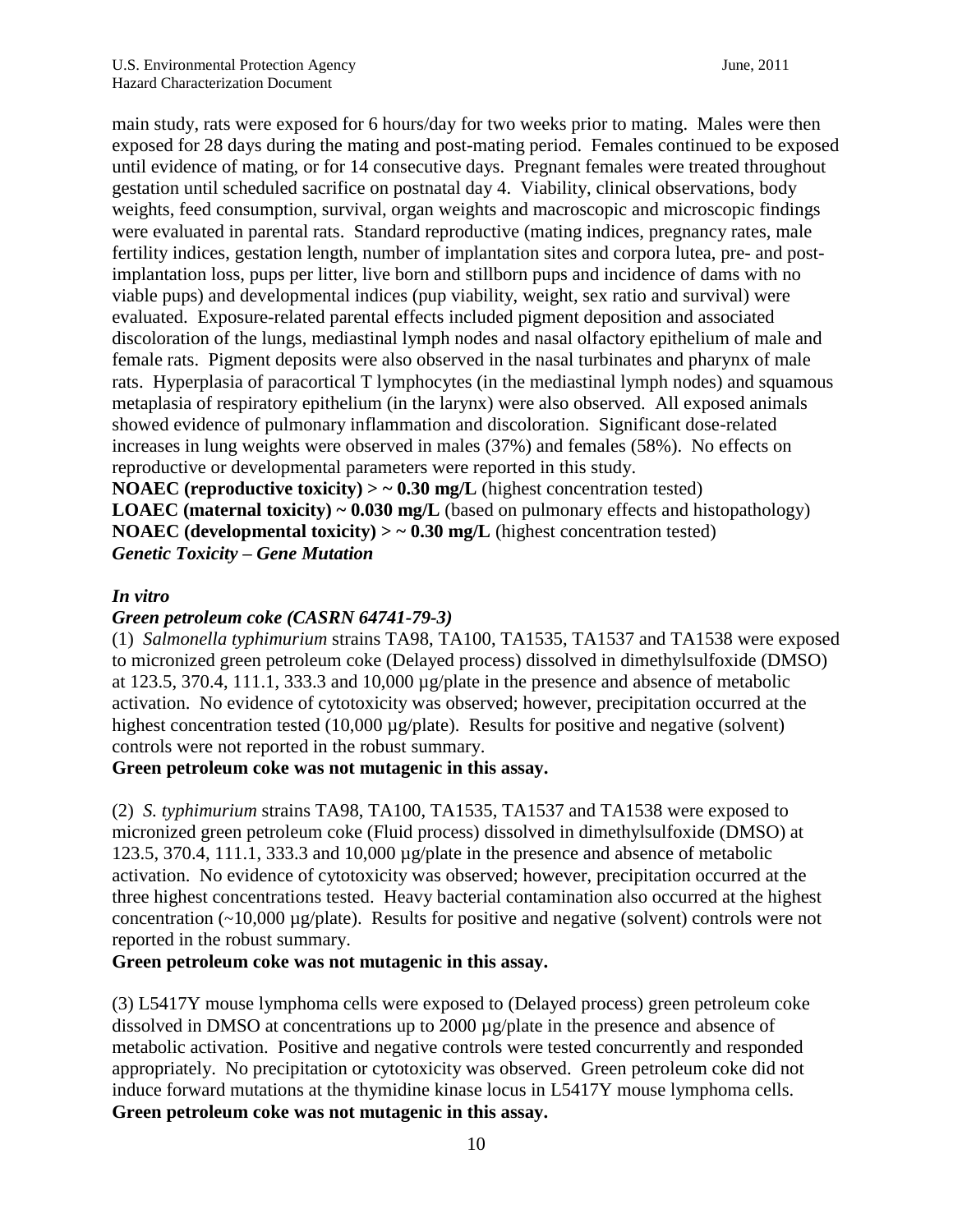main study, rats were exposed for 6 hours/day for two weeks prior to mating. Males were then exposed for 28 days during the mating and post-mating period. Females continued to be exposed until evidence of mating, or for 14 consecutive days. Pregnant females were treated throughout gestation until scheduled sacrifice on postnatal day 4. Viability, clinical observations, body weights, feed consumption, survival, organ weights and macroscopic and microscopic findings were evaluated in parental rats. Standard reproductive (mating indices, pregnancy rates, male fertility indices, gestation length, number of implantation sites and corpora lutea, pre- and postimplantation loss, pups per litter, live born and stillborn pups and incidence of dams with no viable pups) and developmental indices (pup viability, weight, sex ratio and survival) were evaluated. Exposure-related parental effects included pigment deposition and associated discoloration of the lungs, mediastinal lymph nodes and nasal olfactory epithelium of male and female rats. Pigment deposits were also observed in the nasal turbinates and pharynx of male rats. Hyperplasia of paracortical T lymphocytes (in the mediastinal lymph nodes) and squamous metaplasia of respiratory epithelium (in the larynx) were also observed. All exposed animals showed evidence of pulmonary inflammation and discoloration. Significant dose-related increases in lung weights were observed in males (37%) and females (58%). No effects on reproductive or developmental parameters were reported in this study.

**NOAEC** (reproductive toxicity)  $>$   $\sim$  0.30 mg/L (highest concentration tested) **LOAEC** (maternal toxicity) ~ 0.030 mg/L (based on pulmonary effects and histopathology) **NOAEC** (developmental toxicity)  $>$   $\sim$  0.30 mg/L (highest concentration tested) *Genetic Toxicity – Gene Mutation*

### *In vitro*

### *Green petroleum coke (CASRN 64741-79-3)*

(1) *Salmonella typhimurium* strains TA98, TA100, TA1535, TA1537 and TA1538 were exposed to micronized green petroleum coke (Delayed process) dissolved in dimethylsulfoxide (DMSO) at 123.5, 370.4, 111.1, 333.3 and 10,000  $\mu$ g/plate in the presence and absence of metabolic activation. No evidence of cytotoxicity was observed; however, precipitation occurred at the highest concentration tested (10,000  $\mu$ g/plate). Results for positive and negative (solvent) controls were not reported in the robust summary.

### **Green petroleum coke was not mutagenic in this assay.**

(2) *S. typhimurium* strains TA98, TA100, TA1535, TA1537 and TA1538 were exposed to micronized green petroleum coke (Fluid process) dissolved in dimethylsulfoxide (DMSO) at 123.5, 370.4, 111.1, 333.3 and 10,000 µg/plate in the presence and absence of metabolic activation. No evidence of cytotoxicity was observed; however, precipitation occurred at the three highest concentrations tested. Heavy bacterial contamination also occurred at the highest concentration (~10,000 µg/plate). Results for positive and negative (solvent) controls were not reported in the robust summary.

### **Green petroleum coke was not mutagenic in this assay.**

(3) L5417Y mouse lymphoma cells were exposed to (Delayed process) green petroleum coke dissolved in DMSO at concentrations up to 2000 µg/plate in the presence and absence of metabolic activation. Positive and negative controls were tested concurrently and responded appropriately. No precipitation or cytotoxicity was observed. Green petroleum coke did not induce forward mutations at the thymidine kinase locus in L5417Y mouse lymphoma cells. **Green petroleum coke was not mutagenic in this assay.**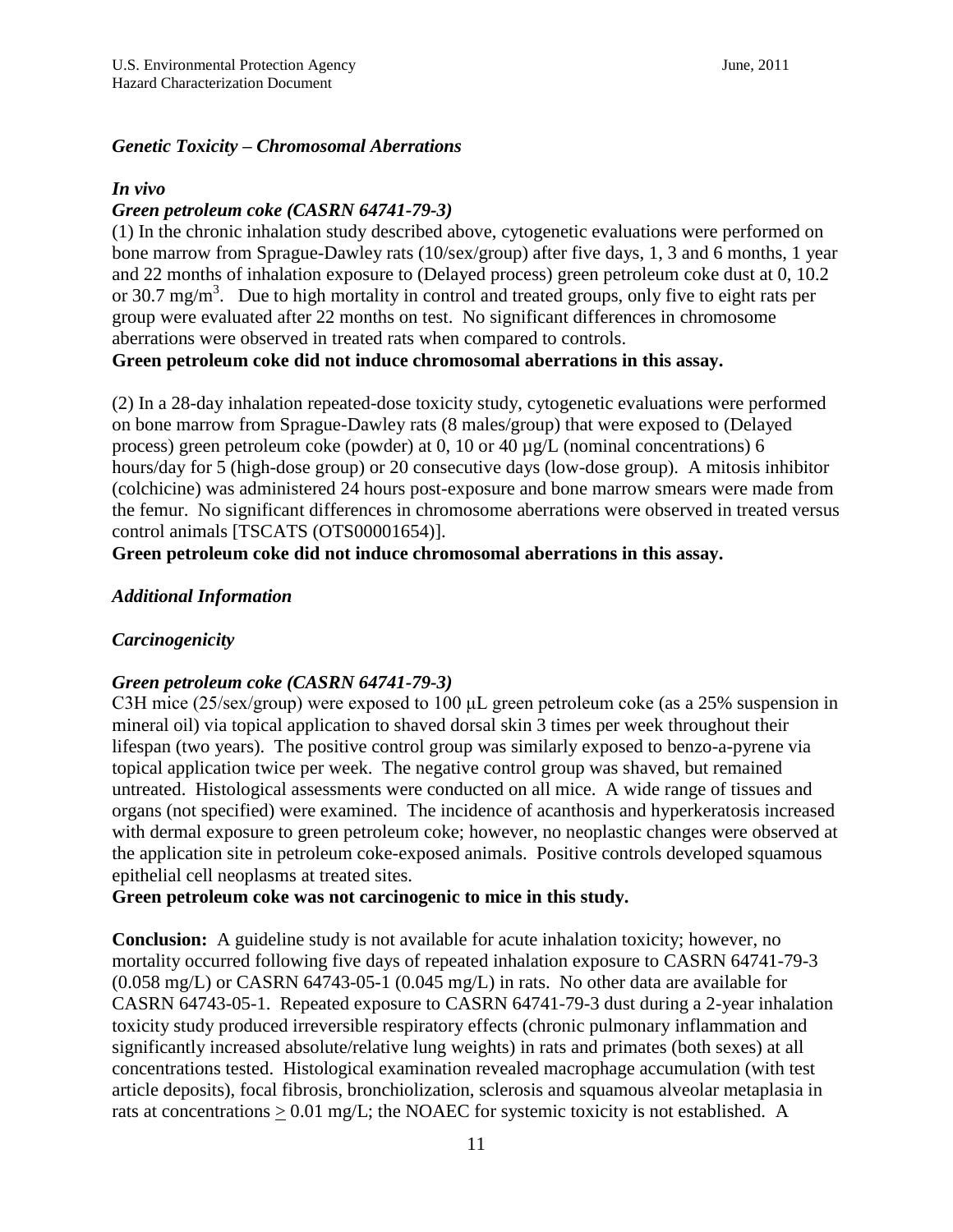### *Genetic Toxicity – Chromosomal Aberrations*

#### *In vivo*

### *Green petroleum coke (CASRN 64741-79-3)*

(1) In the chronic inhalation study described above, cytogenetic evaluations were performed on bone marrow from Sprague-Dawley rats (10/sex/group) after five days, 1, 3 and 6 months, 1 year and 22 months of inhalation exposure to (Delayed process) green petroleum coke dust at 0, 10.2 or 30.7 mg/m<sup>3</sup>. Due to high mortality in control and treated groups, only five to eight rats per group were evaluated after 22 months on test. No significant differences in chromosome aberrations were observed in treated rats when compared to controls.

**Green petroleum coke did not induce chromosomal aberrations in this assay.**

(2) In a 28-day inhalation repeated-dose toxicity study, cytogenetic evaluations were performed on bone marrow from Sprague-Dawley rats (8 males/group) that were exposed to (Delayed process) green petroleum coke (powder) at 0, 10 or 40 µg/L (nominal concentrations) 6 hours/day for 5 (high-dose group) or 20 consecutive days (low-dose group). A mitosis inhibitor (colchicine) was administered 24 hours post-exposure and bone marrow smears were made from the femur. No significant differences in chromosome aberrations were observed in treated versus control animals [TSCATS (OTS00001654)].

**Green petroleum coke did not induce chromosomal aberrations in this assay.** 

### *Additional Information*

## *Carcinogenicity*

### *Green petroleum coke (CASRN 64741-79-3)*

C3H mice (25/sex/group) were exposed to 100 μL green petroleum coke (as a 25% suspension in mineral oil) via topical application to shaved dorsal skin 3 times per week throughout their lifespan (two years). The positive control group was similarly exposed to benzo-a-pyrene via topical application twice per week. The negative control group was shaved, but remained untreated. Histological assessments were conducted on all mice. A wide range of tissues and organs (not specified) were examined. The incidence of acanthosis and hyperkeratosis increased with dermal exposure to green petroleum coke; however, no neoplastic changes were observed at the application site in petroleum coke-exposed animals. Positive controls developed squamous epithelial cell neoplasms at treated sites.

### **Green petroleum coke was not carcinogenic to mice in this study.**

**Conclusion:** A guideline study is not available for acute inhalation toxicity; however, no mortality occurred following five days of repeated inhalation exposure to CASRN 64741-79-3 (0.058 mg/L) or CASRN 64743-05-1 (0.045 mg/L) in rats. No other data are available for CASRN 64743-05-1. Repeated exposure to CASRN 64741-79-3 dust during a 2-year inhalation toxicity study produced irreversible respiratory effects (chronic pulmonary inflammation and significantly increased absolute/relative lung weights) in rats and primates (both sexes) at all concentrations tested. Histological examination revealed macrophage accumulation (with test article deposits), focal fibrosis, bronchiolization, sclerosis and squamous alveolar metaplasia in rats at concentrations  $\geq 0.01$  mg/L; the NOAEC for systemic toxicity is not established. A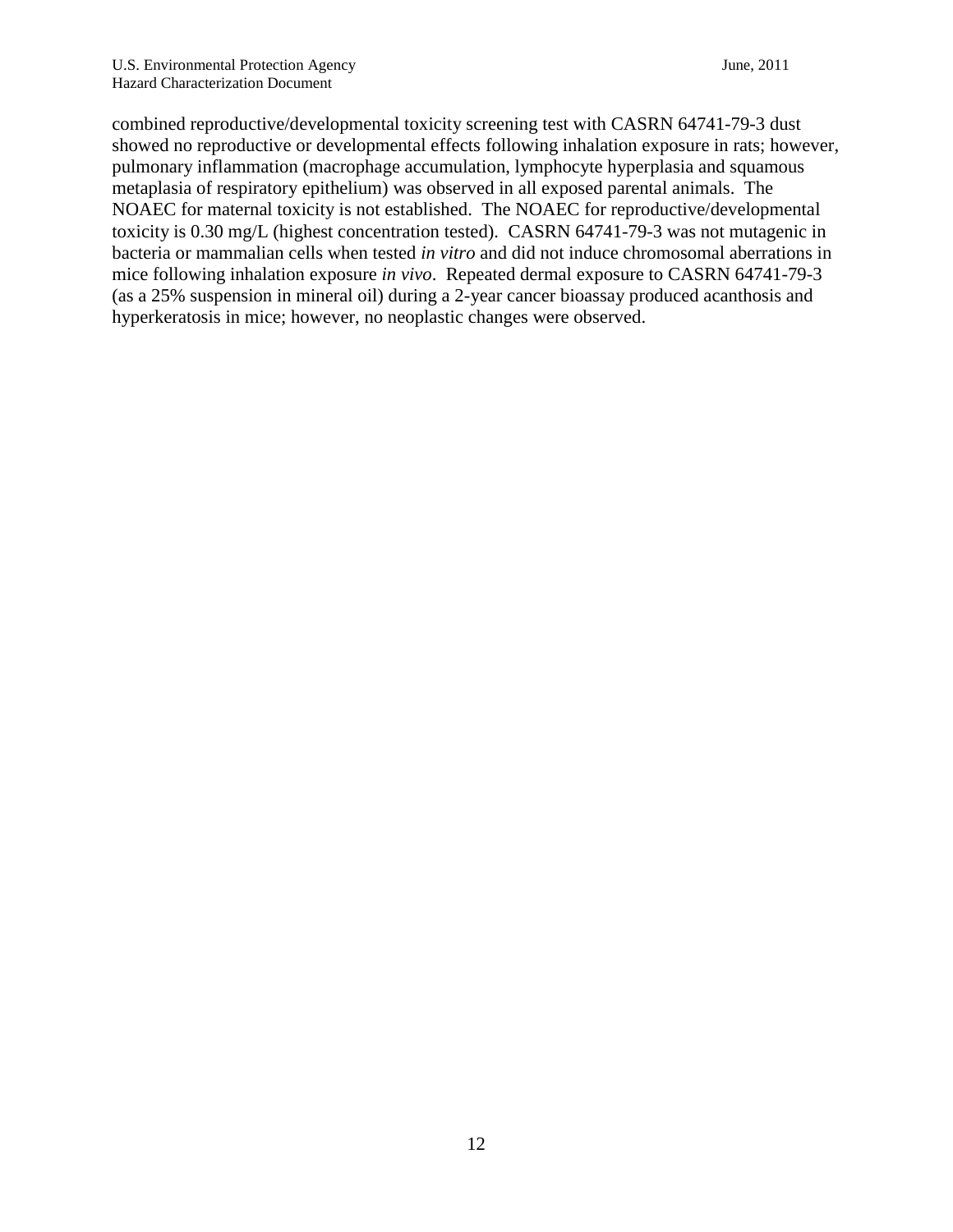combined reproductive/developmental toxicity screening test with CASRN 64741-79-3 dust showed no reproductive or developmental effects following inhalation exposure in rats; however, pulmonary inflammation (macrophage accumulation, lymphocyte hyperplasia and squamous metaplasia of respiratory epithelium) was observed in all exposed parental animals. The NOAEC for maternal toxicity is not established. The NOAEC for reproductive/developmental toxicity is 0.30 mg/L (highest concentration tested). CASRN 64741-79-3 was not mutagenic in bacteria or mammalian cells when tested *in vitro* and did not induce chromosomal aberrations in mice following inhalation exposure *in vivo*. Repeated dermal exposure to CASRN 64741-79-3 (as a 25% suspension in mineral oil) during a 2-year cancer bioassay produced acanthosis and hyperkeratosis in mice; however, no neoplastic changes were observed.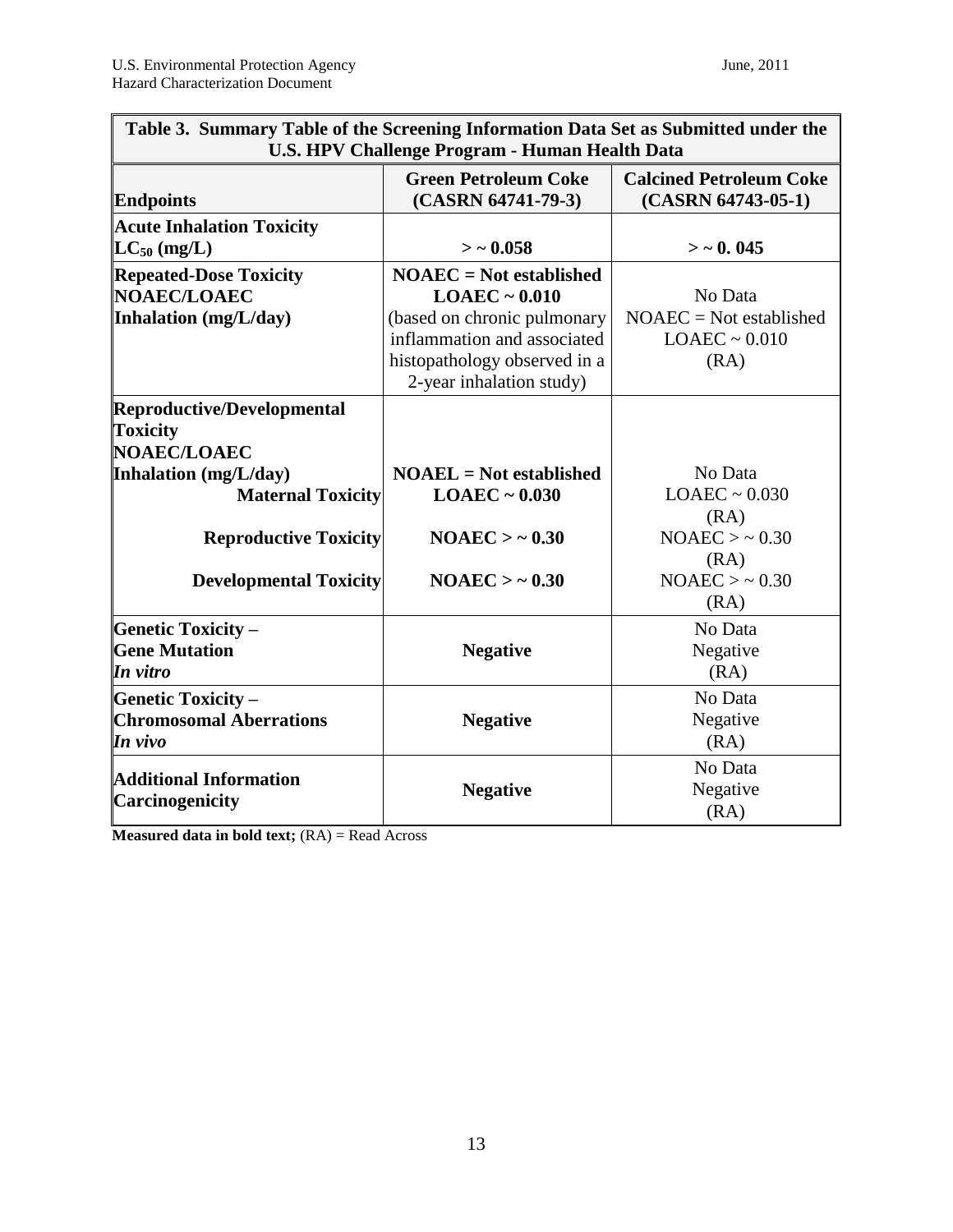| Table 3. Summary Table of the Screening Information Data Set as Submitted under the<br><b>U.S. HPV Challenge Program - Human Health Data</b> |                                                                                                                                                                           |                                                                    |  |  |  |  |
|----------------------------------------------------------------------------------------------------------------------------------------------|---------------------------------------------------------------------------------------------------------------------------------------------------------------------------|--------------------------------------------------------------------|--|--|--|--|
| <b>Endpoints</b>                                                                                                                             | <b>Green Petroleum Coke</b><br>(CASRN 64741-79-3)                                                                                                                         | <b>Calcined Petroleum Coke</b><br>$(CASRN 64743-05-1)$             |  |  |  |  |
| <b>Acute Inhalation Toxicity</b><br>$LC_{50}$ (mg/L)                                                                                         | $>$ ~ 0.058                                                                                                                                                               | $>$ $\sim$ 0.045                                                   |  |  |  |  |
| <b>Repeated-Dose Toxicity</b><br><b>NOAEC/LOAEC</b><br>Inhalation (mg/L/day)                                                                 | $NOAEC = Not established$<br>$LOAEC \sim 0.010$<br>(based on chronic pulmonary<br>inflammation and associated<br>histopathology observed in a<br>2-year inhalation study) | No Data<br>$NOAEC = Not established$<br>$LOAEC \sim 0.010$<br>(RA) |  |  |  |  |
| <b>Reproductive/Developmental</b><br><b>Toxicity</b><br>NOAEC/LOAEC                                                                          |                                                                                                                                                                           |                                                                    |  |  |  |  |
| <b>Inhalation</b> (mg/L/day)<br><b>Maternal Toxicity</b>                                                                                     | $NOAEL = Not established$<br>$LOAEC \sim 0.030$                                                                                                                           | No Data<br>$LOAEC \sim 0.030$<br>(RA)                              |  |  |  |  |
| <b>Reproductive Toxicity</b>                                                                                                                 | NOAEC > ~0.30                                                                                                                                                             | NOAEC > ~0.30<br>(RA)                                              |  |  |  |  |
| <b>Developmental Toxicity</b>                                                                                                                | NOAEC > ~0.30                                                                                                                                                             | NOAEC > ~0.30<br>(RA)                                              |  |  |  |  |
| <b>Genetic Toxicity -</b><br><b>Gene Mutation</b><br>In vitro                                                                                | <b>Negative</b>                                                                                                                                                           | No Data<br>Negative<br>(RA)                                        |  |  |  |  |
| <b>Genetic Toxicity -</b><br><b>Chromosomal Aberrations</b><br>In vivo                                                                       | <b>Negative</b>                                                                                                                                                           | No Data<br>Negative<br>(RA)                                        |  |  |  |  |
| <b>Additional Information</b><br>Carcinogenicity                                                                                             | <b>Negative</b>                                                                                                                                                           | No Data<br>Negative<br>(RA)                                        |  |  |  |  |

**Measured data in bold text;** (RA) = Read Across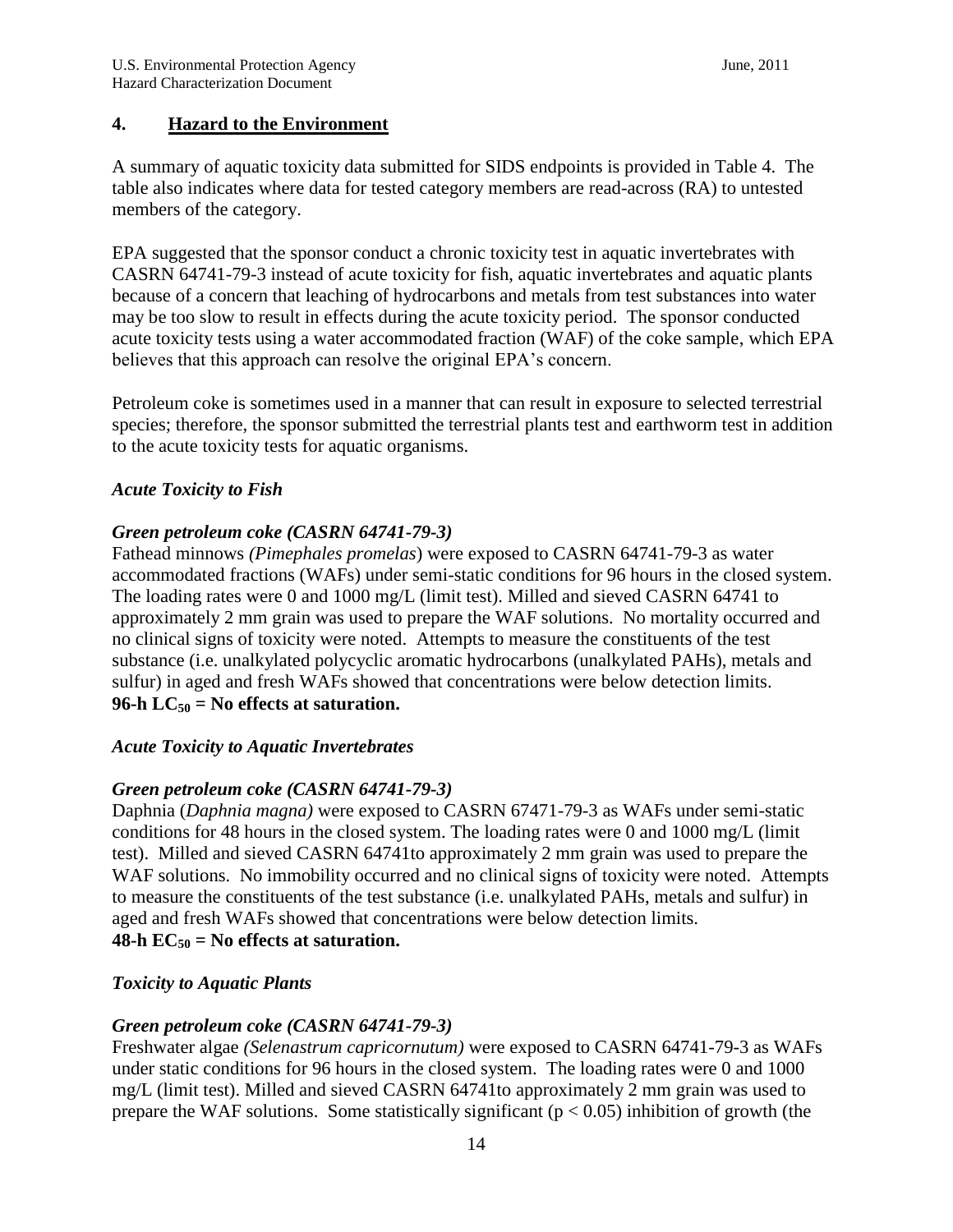## **4. Hazard to the Environment**

A summary of aquatic toxicity data submitted for SIDS endpoints is provided in Table 4. The table also indicates where data for tested category members are read-across (RA) to untested members of the category.

EPA suggested that the sponsor conduct a chronic toxicity test in aquatic invertebrates with CASRN 64741-79-3 instead of acute toxicity for fish, aquatic invertebrates and aquatic plants because of a concern that leaching of hydrocarbons and metals from test substances into water may be too slow to result in effects during the acute toxicity period. The sponsor conducted acute toxicity tests using a water accommodated fraction (WAF) of the coke sample, which EPA believes that this approach can resolve the original EPA's concern.

Petroleum coke is sometimes used in a manner that can result in exposure to selected terrestrial species; therefore, the sponsor submitted the terrestrial plants test and earthworm test in addition to the acute toxicity tests for aquatic organisms.

## *Acute Toxicity to Fish*

## *Green petroleum coke (CASRN 64741-79-3)*

Fathead minnows *(Pimephales promelas*) were exposed to CASRN 64741-79-3 as water accommodated fractions (WAFs) under semi-static conditions for 96 hours in the closed system. The loading rates were 0 and 1000 mg/L (limit test). Milled and sieved CASRN 64741 to approximately 2 mm grain was used to prepare the WAF solutions. No mortality occurred and no clinical signs of toxicity were noted. Attempts to measure the constituents of the test substance (i.e. unalkylated polycyclic aromatic hydrocarbons (unalkylated PAHs), metals and sulfur) in aged and fresh WAFs showed that concentrations were below detection limits. **96-h**  $LC_{50}$  = No effects at saturation.

## *Acute Toxicity to Aquatic Invertebrates*

## *Green petroleum coke (CASRN 64741-79-3)*

Daphnia (*Daphnia magna)* were exposed to CASRN 67471-79-3 as WAFs under semi-static conditions for 48 hours in the closed system. The loading rates were 0 and 1000 mg/L (limit test). Milled and sieved CASRN 64741to approximately 2 mm grain was used to prepare the WAF solutions. No immobility occurred and no clinical signs of toxicity were noted. Attempts to measure the constituents of the test substance (i.e. unalkylated PAHs, metals and sulfur) in aged and fresh WAFs showed that concentrations were below detection limits. 48-h  $EC_{50}$  = No effects at saturation.

## *Toxicity to Aquatic Plants*

## *Green petroleum coke (CASRN 64741-79-3)*

Freshwater algae *(Selenastrum capricornutum)* were exposed to CASRN 64741-79-3 as WAFs under static conditions for 96 hours in the closed system. The loading rates were 0 and 1000 mg/L (limit test). Milled and sieved CASRN 64741to approximately 2 mm grain was used to prepare the WAF solutions. Some statistically significant ( $p < 0.05$ ) inhibition of growth (the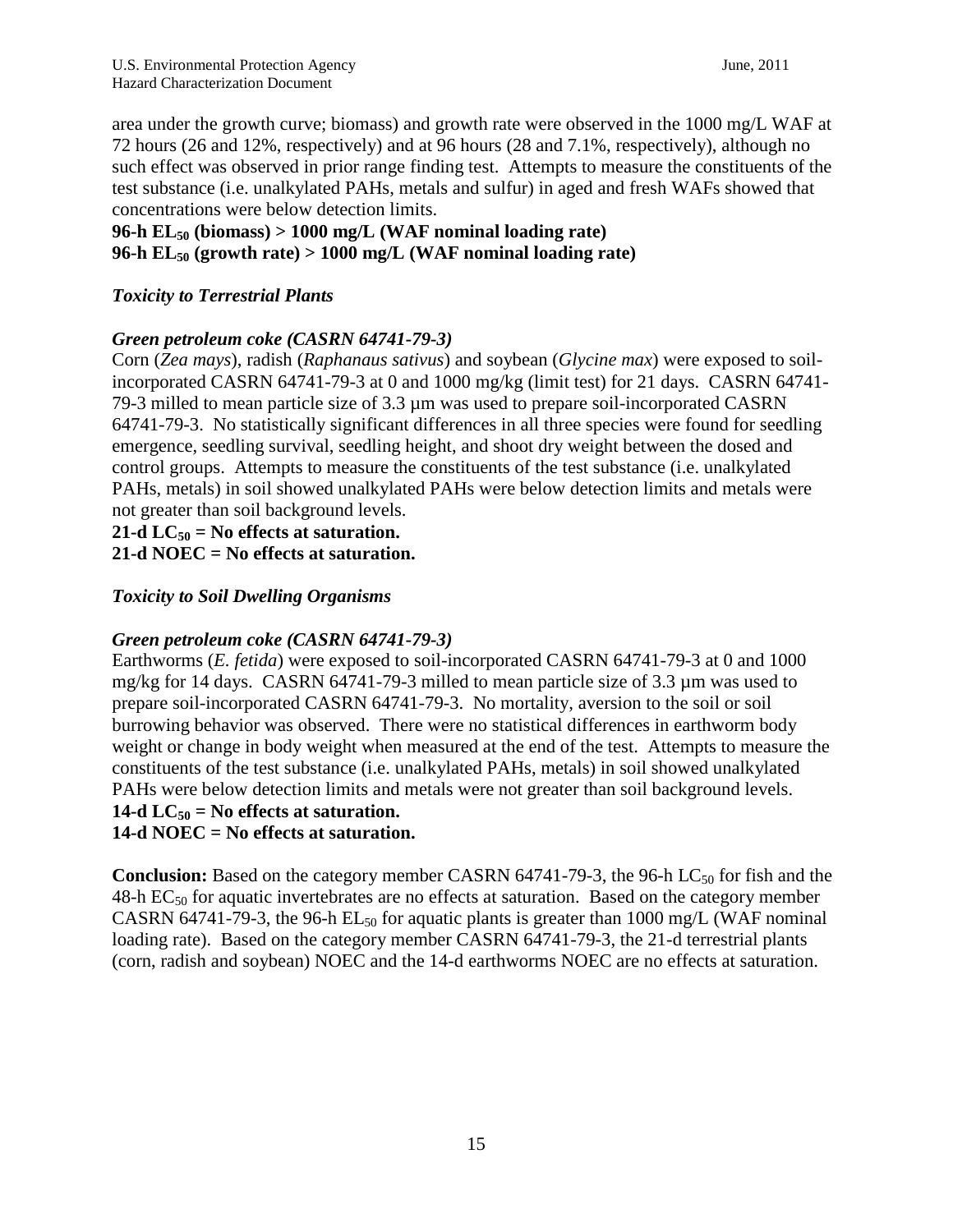area under the growth curve; biomass) and growth rate were observed in the 1000 mg/L WAF at 72 hours (26 and 12%, respectively) and at 96 hours (28 and 7.1%, respectively), although no such effect was observed in prior range finding test. Attempts to measure the constituents of the test substance (i.e. unalkylated PAHs, metals and sulfur) in aged and fresh WAFs showed that concentrations were below detection limits.

### **96-h EL<sup>50</sup> (biomass) > 1000 mg/L (WAF nominal loading rate) 96-h EL<sup>50</sup> (growth rate) > 1000 mg/L (WAF nominal loading rate)**

## *Toxicity to Terrestrial Plants*

## *Green petroleum coke (CASRN 64741-79-3)*

Corn (*Zea mays*), radish (*Raphanaus sativus*) and soybean (*Glycine max*) were exposed to soilincorporated CASRN 64741-79-3 at 0 and 1000 mg/kg (limit test) for 21 days. CASRN 64741- 79-3 milled to mean particle size of 3.3 µm was used to prepare soil-incorporated CASRN 64741-79-3. No statistically significant differences in all three species were found for seedling emergence, seedling survival, seedling height, and shoot dry weight between the dosed and control groups. Attempts to measure the constituents of the test substance (i.e. unalkylated PAHs, metals) in soil showed unalkylated PAHs were below detection limits and metals were not greater than soil background levels.

**21-d**  $LC_{50}$  = No effects at saturation.

**21-d NOEC = No effects at saturation.** 

## *Toxicity to Soil Dwelling Organisms*

## *Green petroleum coke (CASRN 64741-79-3)*

Earthworms (*E. fetida*) were exposed to soil-incorporated CASRN 64741-79-3 at 0 and 1000 mg/kg for 14 days. CASRN 64741-79-3 milled to mean particle size of 3.3 µm was used to prepare soil-incorporated CASRN 64741-79-3. No mortality, aversion to the soil or soil burrowing behavior was observed. There were no statistical differences in earthworm body weight or change in body weight when measured at the end of the test. Attempts to measure the constituents of the test substance (i.e. unalkylated PAHs, metals) in soil showed unalkylated PAHs were below detection limits and metals were not greater than soil background levels. 14-d  $LC_{50}$  = No effects at saturation.

**14-d NOEC = No effects at saturation.** 

**Conclusion:** Based on the category member CASRN 64741-79-3, the 96-h LC<sub>50</sub> for fish and the  $48-h \text{ EC}_{50}$  for aquatic invertebrates are no effects at saturation. Based on the category member CASRN 64741-79-3, the 96-h  $EL_{50}$  for aquatic plants is greater than 1000 mg/L (WAF nominal loading rate). Based on the category member CASRN 64741-79-3, the 21-d terrestrial plants (corn, radish and soybean) NOEC and the 14-d earthworms NOEC are no effects at saturation.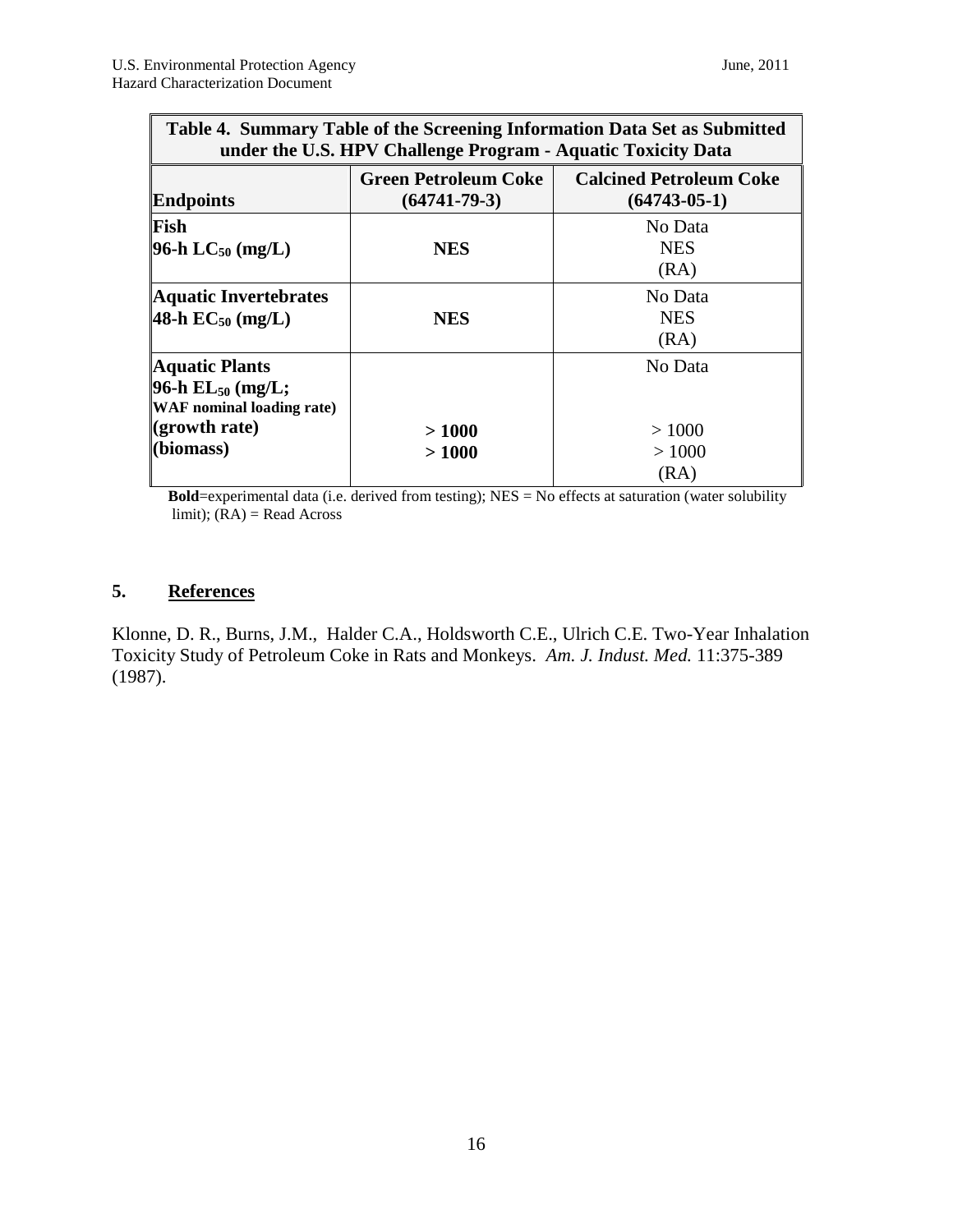| Table 4. Summary Table of the Screening Information Data Set as Submitted<br>under the U.S. HPV Challenge Program - Aquatic Toxicity Data |                                                   |                                                  |  |  |  |  |
|-------------------------------------------------------------------------------------------------------------------------------------------|---------------------------------------------------|--------------------------------------------------|--|--|--|--|
| <b>Endpoints</b>                                                                                                                          | <b>Green Petroleum Coke</b><br>$(64741 - 79 - 3)$ | <b>Calcined Petroleum Coke</b><br>$(64743-05-1)$ |  |  |  |  |
| Fish<br>96-h $LC_{50}$ (mg/L)                                                                                                             | <b>NES</b>                                        | No Data<br><b>NES</b><br>(RA)                    |  |  |  |  |
| <b>Aquatic Invertebrates</b><br>48-h $EC_{50}$ (mg/L)                                                                                     | <b>NES</b>                                        | No Data<br><b>NES</b><br>(RA)                    |  |  |  |  |
| <b>Aquatic Plants</b><br>96-h $EL_{50}$ (mg/L;<br><b>WAF</b> nominal loading rate)<br>$\left($ growth rate)<br>(biomass)                  | >1000<br>>1000                                    | No Data<br>>1000<br>>1000<br>(RA)                |  |  |  |  |

**Bold**=experimental data (i.e. derived from testing); NES = No effects at saturation (water solubility limit);  $(RA)$  = Read Across

## **5. References**

Klonne, D. R., Burns, J.M., Halder C.A., Holdsworth C.E., Ulrich C.E. Two-Year Inhalation Toxicity Study of Petroleum Coke in Rats and Monkeys. *Am. J. Indust. Med.* 11:375-389 (1987).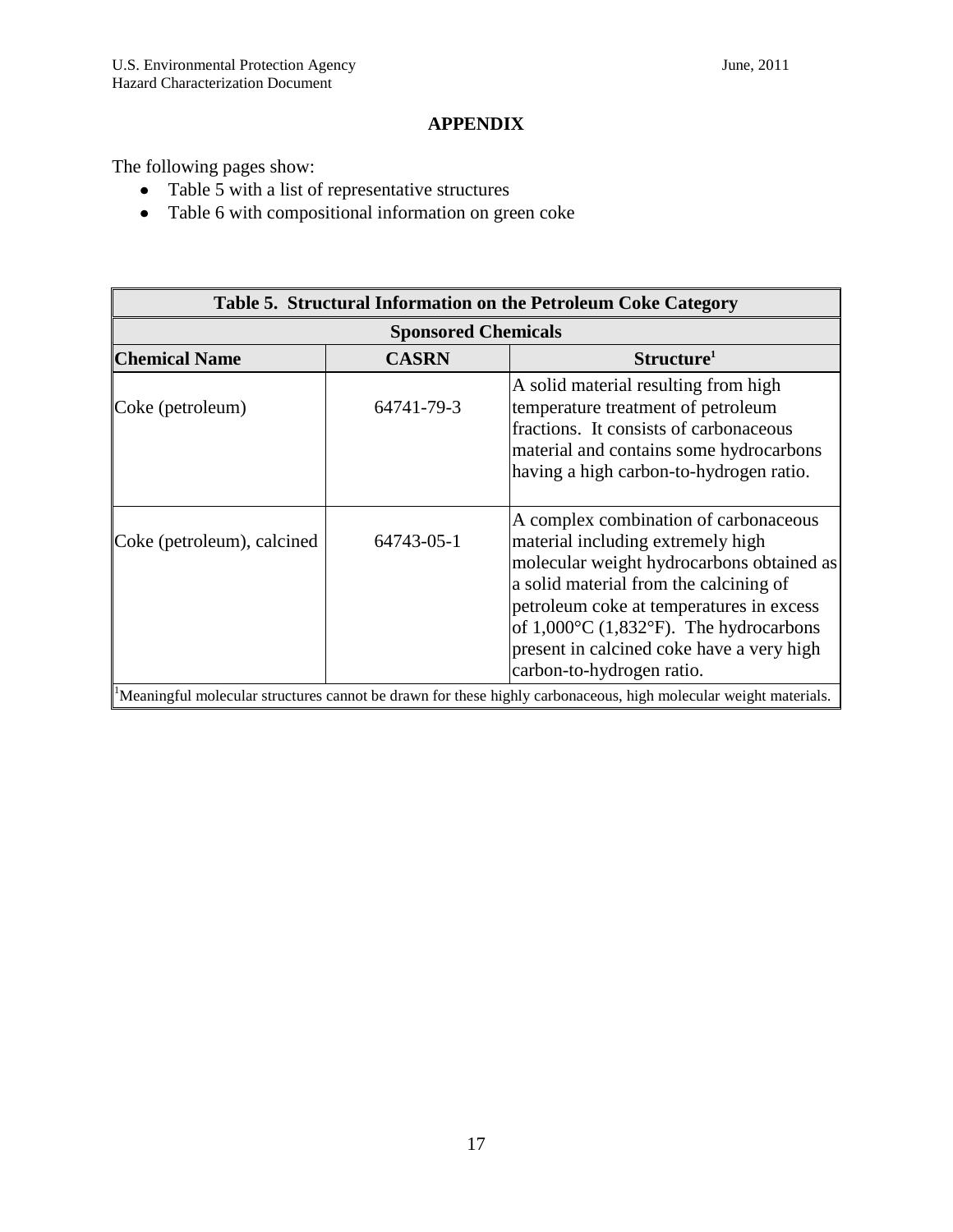## **APPENDIX**

The following pages show:

- Table 5 with a list of representative structures
- Table 6 with compositional information on green coke

| Table 5. Structural Information on the Petroleum Coke Category |              |                                                                                                                                                                                                                                                                                                                                                        |  |  |  |  |  |  |
|----------------------------------------------------------------|--------------|--------------------------------------------------------------------------------------------------------------------------------------------------------------------------------------------------------------------------------------------------------------------------------------------------------------------------------------------------------|--|--|--|--|--|--|
| <b>Sponsored Chemicals</b>                                     |              |                                                                                                                                                                                                                                                                                                                                                        |  |  |  |  |  |  |
| <b>Chemical Name</b>                                           | <b>CASRN</b> | Structure <sup>1</sup>                                                                                                                                                                                                                                                                                                                                 |  |  |  |  |  |  |
| Coke (petroleum)                                               | 64741-79-3   | A solid material resulting from high<br>temperature treatment of petroleum<br>fractions. It consists of carbonaceous<br>material and contains some hydrocarbons<br>having a high carbon-to-hydrogen ratio.                                                                                                                                             |  |  |  |  |  |  |
| Coke (petroleum), calcined                                     | 64743-05-1   | A complex combination of carbonaceous<br>material including extremely high<br>molecular weight hydrocarbons obtained as<br>a solid material from the calcining of<br>petroleum coke at temperatures in excess<br>of $1,000^{\circ}$ C (1,832 $^{\circ}$ F). The hydrocarbons<br>present in calcined coke have a very high<br>carbon-to-hydrogen ratio. |  |  |  |  |  |  |
|                                                                |              | Meaningful molecular structures cannot be drawn for these highly carbonaceous, high molecular weight materials.                                                                                                                                                                                                                                        |  |  |  |  |  |  |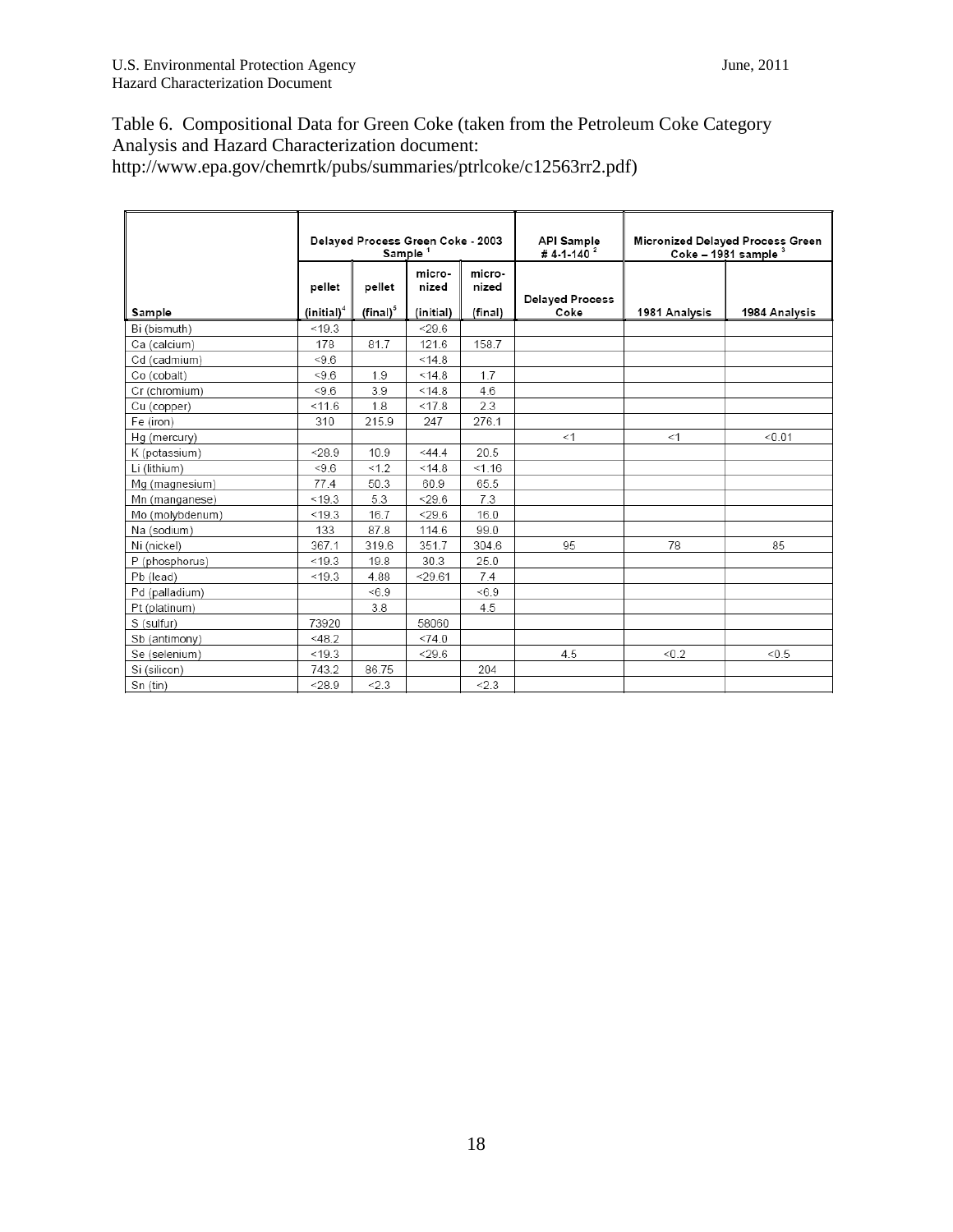## Table 6. Compositional Data for Green Coke (taken from the Petroleum Coke Category Analysis and Hazard Characterization document: http://www.epa.gov/chemrtk/pubs/summaries/ptrlcoke/c12563rr2.pdf)

|                 | Delayed Process Green Coke - 2003<br>Sample <sup>1</sup> |                      |                 |                 | <b>API Sample</b><br># 4-1-140 $^{2}$ |               | Micronized Delayed Process Green<br>Coke - 1981 sample 3 |
|-----------------|----------------------------------------------------------|----------------------|-----------------|-----------------|---------------------------------------|---------------|----------------------------------------------------------|
|                 | pellet                                                   | pellet               | micro-<br>nized | micro-<br>nized | <b>Delayed Process</b>                |               |                                                          |
| Sample          | (inital) <sup>4</sup>                                    | $(\mathsf{final})^5$ | (initial)       | (final)         | Coke                                  | 1981 Analysis | 1984 Analysis                                            |
| Bi (bismuth)    | < 19.3                                                   |                      | < 29.6          |                 |                                       |               |                                                          |
| Ca (calcium)    | 178                                                      | 81.7                 | 121.6           | 158.7           |                                       |               |                                                          |
| Cd (cadmium)    | < 9.6                                                    |                      | < 14.8          |                 |                                       |               |                                                          |
| Co (cobalt)     | < 9.6                                                    | 1.9                  | < 14.8          | 1.7             |                                       |               |                                                          |
| Cr (chromium)   | $5 - 9.6$                                                | 3.9                  | < 14.8          | 4.6             |                                       |               |                                                          |
| Cu (copper)     | < 11.6                                                   | 1.8                  | < 17.8          | 2.3             |                                       |               |                                                          |
| Fe (iron)       | 310                                                      | 215.9                | 247             | 276.1           |                                       |               |                                                          |
| Hg (mercury)    |                                                          |                      |                 |                 | <1                                    | <1            | < 0.01                                                   |
| K (potassium)   | < 28.9                                                   | 10.9                 | $<$ 44.4        | 20.5            |                                       |               |                                                          |
| Li (lithium)    | < 9.6                                                    | < 1.2                | < 14.8          | < 1.16          |                                       |               |                                                          |
| Mg (magnesium)  | 77.4                                                     | 50.3                 | 60.9            | 65.5            |                                       |               |                                                          |
| Mn (manganese)  | < 19.3                                                   | 5.3                  | $<$ 29.6        | 7.3             |                                       |               |                                                          |
| Mo (molybdenum) | < 19.3                                                   | 16.7                 | < 29.6          | 16.0            |                                       |               |                                                          |
| Na (sodium)     | 133                                                      | 87.8                 | 114.6           | 99.0            |                                       |               |                                                          |
| Ni (nickel)     | 367.1                                                    | 319.6                | 351.7           | 304.6           | 95                                    | 78            | 85                                                       |
| P (phosphorus)  | < 19.3                                                   | 19.8                 | 30.3            | 25.0            |                                       |               |                                                          |
| Pb (lead)       | < 19.3                                                   | 4.88                 | $<$ 29.61       | 7.4             |                                       |               |                                                          |
| Pd (palladium)  |                                                          | < 6.9                |                 | < 6.9           |                                       |               |                                                          |
| Pt (platinum)   |                                                          | 3.8                  |                 | 4.5             |                                       |               |                                                          |
| S (sulfur)      | 73920                                                    |                      | 58060           |                 |                                       |               |                                                          |
| Sb (antimony)   | $<$ 48.2                                                 |                      | <74.0           |                 |                                       |               |                                                          |
| Se (selenium)   | < 19.3                                                   |                      | $<$ 29.6        |                 | 4.5                                   | < 0.2         | < 0.5                                                    |
| Si (silicon)    | 743.2                                                    | 86.75                |                 | 204             |                                       |               |                                                          |
| Sn (tin)        | < 28.9                                                   | < 2.3                |                 | < 2.3           |                                       |               |                                                          |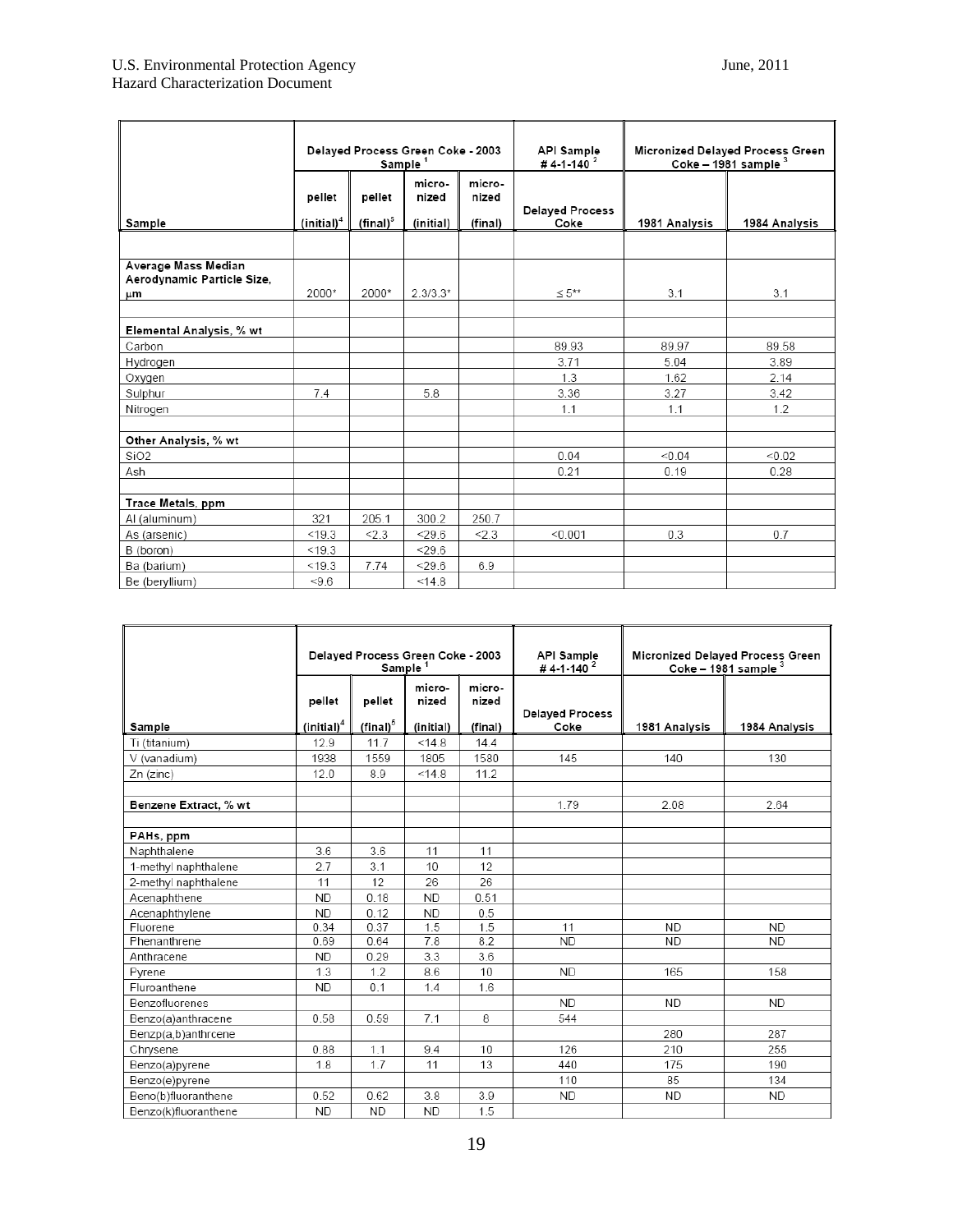|                                                         | Delayed Process Green Coke - 2003<br>Sample <sup>1</sup> |                       |                              |                            | Micronized Delayed Process Green<br><b>API Sample</b><br>$Coke - 1981 sample3$<br>#4-1-140 <sup>2</sup> |               |               |
|---------------------------------------------------------|----------------------------------------------------------|-----------------------|------------------------------|----------------------------|---------------------------------------------------------------------------------------------------------|---------------|---------------|
| Sample                                                  | pellet<br>(inital) <sup>4</sup>                          | pellet<br>$(final)^5$ | micro-<br>nized<br>(initial) | micro-<br>nized<br>(final) | <b>Delayed Process</b><br>Coke                                                                          | 1981 Analysis | 1984 Analysis |
|                                                         |                                                          |                       |                              |                            |                                                                                                         |               |               |
| Average Mass Median<br>Aerodynamic Particle Size,<br>μm | 2000*                                                    | 2000*                 | $2.3/3.3*$                   |                            | $\leq 5**$                                                                                              | 3.1           | 3.1           |
| Elemental Analysis, % wt                                |                                                          |                       |                              |                            |                                                                                                         |               |               |
| Carbon                                                  |                                                          |                       |                              |                            | 89.93                                                                                                   | 89.97         | 89.58         |
| Hydrogen                                                |                                                          |                       |                              |                            | 3.71                                                                                                    | 5.04          | 3.89          |
| Oxygen                                                  |                                                          |                       |                              |                            | 1.3                                                                                                     | 1.62          | 2.14          |
| Sulphur                                                 | 7.4                                                      |                       | 5.8                          |                            | 3.36                                                                                                    | 3.27          | 3.42          |
| Nitrogen                                                |                                                          |                       |                              |                            | 1.1                                                                                                     | 1.1           | 1.2           |
| Other Analysis, % wt                                    |                                                          |                       |                              |                            |                                                                                                         |               |               |
| SiO <sub>2</sub>                                        |                                                          |                       |                              |                            | 0.04                                                                                                    | < 0.04        | < 0.02        |
| Ash                                                     |                                                          |                       |                              |                            | 0.21                                                                                                    | 0.19          | 0.28          |
|                                                         |                                                          |                       |                              |                            |                                                                                                         |               |               |
| Trace Metals, ppm                                       |                                                          |                       |                              |                            |                                                                                                         |               |               |
| Al (aluminum)                                           | 321                                                      | 205.1                 | 300.2                        | 250.7                      |                                                                                                         |               |               |
| As (arsenic)                                            | < 19.3                                                   | < 2.3                 | < 29.6                       | < 2.3                      | < 0.001                                                                                                 | 0.3           | 0.7           |
| B (boron)                                               | < 19.3                                                   |                       | < 29.6                       |                            |                                                                                                         |               |               |
| Ba (barium)                                             | < 19.3                                                   | 7.74                  | < 29.6                       | 6.9                        |                                                                                                         |               |               |
| Be (beryllium)                                          | < 9.6                                                    |                       | < 14.8                       |                            |                                                                                                         |               |               |

|                       | Delayed Process Green Coke - 2003<br>Sample <sup>1</sup> |                              |                              |                            | <b>API Sample</b><br>#4-1-140 <sup>2</sup> | Micronized Delayed Process Green<br>Coke - 1981 sample 3 |               |
|-----------------------|----------------------------------------------------------|------------------------------|------------------------------|----------------------------|--------------------------------------------|----------------------------------------------------------|---------------|
| Sample                | pellet<br>$(inital)^4$                                   | pellet<br>$(\text{final})^5$ | micro-<br>nized<br>(initial) | micro-<br>nized<br>(final) | <b>Delaved Process</b><br>Coke             | 1981 Analysis                                            | 1984 Analysis |
| Ti (titanium)         | 12.9                                                     | 11.7                         | < 14.8                       | 14.4                       |                                            |                                                          |               |
| V (vanadium)          | 1938                                                     | 1559                         | 1805                         | 1580                       | 145                                        | 140                                                      | 130           |
| Zn (zinc)             | 12.0                                                     | 8.9                          | < 14.8                       | 11.2                       |                                            |                                                          |               |
|                       |                                                          |                              |                              |                            |                                            |                                                          |               |
| Benzene Extract, % wt |                                                          |                              |                              |                            | 1.79                                       | 2.08                                                     | 2.64          |
|                       |                                                          |                              |                              |                            |                                            |                                                          |               |
| PAHs, ppm             |                                                          |                              |                              |                            |                                            |                                                          |               |
| Naphthalene           | 3.6                                                      | 3.6                          | 11                           | 11                         |                                            |                                                          |               |
| 1-methyl naphthalene  | 2.7                                                      | 3.1                          | 10                           | 12                         |                                            |                                                          |               |
| 2-methyl naphthalene  | 11                                                       | 12                           | 26                           | 26                         |                                            |                                                          |               |
| Acenaphthene          | <b>ND</b>                                                | 0.18                         | <b>ND</b>                    | 0.51                       |                                            |                                                          |               |
| Acenaphthylene        | <b>ND</b>                                                | 0.12                         | <b>ND</b>                    | 0.5                        |                                            |                                                          |               |
| Fluorene              | 0.34                                                     | 0.37                         | 1.5                          | 1.5                        | 11                                         | <b>ND</b>                                                | <b>ND</b>     |
| Phenanthrene          | 0.69                                                     | 0.64                         | 7.8                          | 8.2                        | <b>ND</b>                                  | <b>ND</b>                                                | <b>ND</b>     |
| Anthracene            | <b>ND</b>                                                | 0.29                         | 3.3                          | 3.6                        |                                            |                                                          |               |
| Pyrene                | 1.3                                                      | 1.2                          | 8.6                          | 10                         | <b>ND</b>                                  | 165                                                      | 158           |
| Fluroanthene          | <b>ND</b>                                                | 0.1                          | 1.4                          | 1.6                        |                                            |                                                          |               |
| Benzofluorenes        |                                                          |                              |                              |                            | ND.                                        | <b>ND</b>                                                | <b>ND</b>     |
| Benzo(a)anthracene    | 0.58                                                     | 0.59                         | 7.1                          | 8                          | 544                                        |                                                          |               |
| Benzp(a,b)anthrcene   |                                                          |                              |                              |                            |                                            | 280                                                      | 287           |
| Chrysene              | 0.88                                                     | 1.1                          | 9.4                          | 10                         | 126                                        | 210                                                      | 255           |
| Benzo(a)pyrene        | 1.8                                                      | 1.7                          | 11                           | 13                         | 440                                        | 175                                                      | 190           |
| Benzo(e)pyrene        |                                                          |                              |                              |                            | 110                                        | 85                                                       | 134           |
| Beno(b)fluoranthene   | 0.52                                                     | 0.62                         | 3.8                          | 3.9                        | <b>ND</b>                                  | ND.                                                      | <b>ND</b>     |
| Benzo(k)fluoranthene  | <b>ND</b>                                                | <b>ND</b>                    | <b>ND</b>                    | 1.5                        |                                            |                                                          |               |